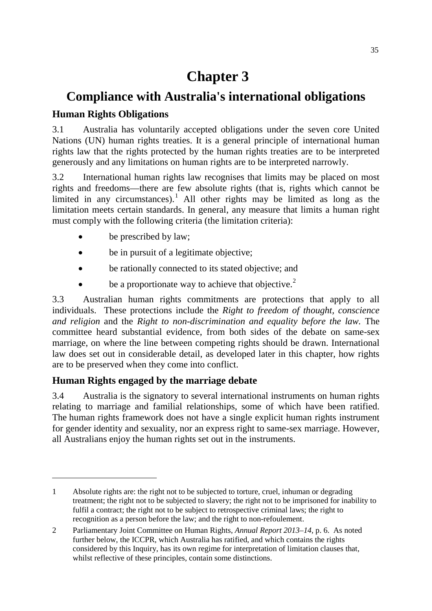# **Chapter 3**

# **Compliance with Australia's international obligations**

# **Human Rights Obligations**

3.1 Australia has voluntarily accepted obligations under the seven core United Nations (UN) human rights treaties. It is a general principle of international human rights law that the rights protected by the human rights treaties are to be interpreted generously and any limitations on human rights are to be interpreted narrowly.

3.2 International human rights law recognises that limits may be placed on most rights and freedoms—there are few absolute rights (that is, rights which cannot be limited in any circumstances).<sup>[1](#page-0-0)</sup> All other rights may be limited as long as the limitation meets certain standards. In general, any measure that limits a human right must comply with the following criteria (the limitation criteria):

- be prescribed by law;
- be in pursuit of a legitimate objective;
- be rationally connected to its stated objective; and
- be a proportionate way to achieve that objective.<sup>[2](#page-0-1)</sup>

3.3 Australian human rights commitments are protections that apply to all individuals. These protections include the *Right to freedom of thought, conscience and religion* and the *Right to non-discrimination and equality before the law.* The committee heard substantial evidence, from both sides of the debate on same-sex marriage, on where the line between competing rights should be drawn. International law does set out in considerable detail, as developed later in this chapter, how rights are to be preserved when they come into conflict.

# **Human Rights engaged by the marriage debate**

-

3.4 Australia is the signatory to several international instruments on human rights relating to marriage and familial relationships, some of which have been ratified. The human rights framework does not have a single explicit human rights instrument for gender identity and sexuality, nor an express right to same-sex marriage. However, all Australians enjoy the human rights set out in the instruments.

<span id="page-0-0"></span><sup>1</sup> Absolute rights are: the right not to be subjected to torture, cruel, inhuman or degrading treatment; the right not to be subjected to slavery; the right not to be imprisoned for inability to fulfil a contract; the right not to be subject to retrospective criminal laws; the right to recognition as a person before the law; and the right to non-refoulement.

<span id="page-0-1"></span><sup>2</sup> Parliamentary Joint Committee on Human Rights, *Annual Report 2013–14,* p. 6. As noted further below, the ICCPR, which Australia has ratified, and which contains the rights considered by this Inquiry, has its own regime for interpretation of limitation clauses that, whilst reflective of these principles, contain some distinctions.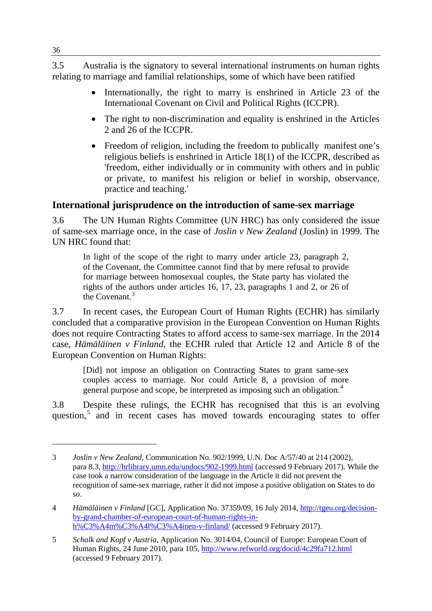3.5 Australia is the signatory to several international instruments on human rights relating to marriage and familial relationships, some of which have been ratified

- Internationally, the right to marry is enshrined in Article 23 of the International Covenant on Civil and Political Rights (ICCPR).
- The right to non-discrimination and equality is enshrined in the Articles 2 and 26 of the ICCPR.
- Freedom of religion, including the freedom to publically manifest one's religious beliefs is enshrined in Article 18(1) of the ICCPR, described as 'freedom, either individually or in community with others and in public or private, to manifest his religion or belief in worship, observance, practice and teaching.'

# **International jurisprudence on the introduction of same-sex marriage**

3.6 The UN Human Rights Committee (UN HRC) has only considered the issue of same-sex marriage once, in the case of *Joslin v New Zealand* (Joslin) in 1999. The UN HRC found that:

In light of the scope of the right to marry under article 23, paragraph 2, of the Covenant, the Committee cannot find that by mere refusal to provide for marriage between homosexual couples, the State party has violated the rights of the authors under articles 16, 17, 23, paragraphs 1 and 2, or 26 of the Covenant. [3](#page-1-0)

3.7 In recent cases, the European Court of Human Rights (ECHR) has similarly concluded that a comparative provision in the European Convention on Human Rights does not require Contracting States to afford access to same-sex marriage. In the 2014 case, *Hämäläinen v Finland*, the ECHR ruled that Article 12 and Article 8 of the European Convention on Human Rights:

[Did] not impose an obligation on Contracting States to grant same-sex couples access to marriage. Nor could Article 8, a provision of more general purpose and scope, be interpreted as imposing such an obligation.<sup>[4](#page-1-1)</sup>

3.8 Despite these rulings, the ECHR has recognised that this is an evolving question, $5$  and in recent cases has moved towards encouraging states to offer

<span id="page-1-0"></span><sup>3</sup> *Joslin v New Zealand*, Communication No. 902/1999, U.N. Doc A/57/40 at 214 (2002), para 8.3,<http://hrlibrary.umn.edu/undocs/902-1999.html> (accessed 9 February 2017). While the case took a narrow consideration of the language in the Article it did not prevent the recognition of same-sex marriage, rather it did not impose a positive obligation on States to do so.

<span id="page-1-1"></span><sup>4</sup> *Hämäläinen v Finland* [GC], Application No. 37359/09, 16 July 2014, [http://tgeu.org/decision](http://tgeu.org/decision-by-grand-chamber-of-european-court-of-human-rights-in-h%C3%A4m%C3%A4l%C3%A4inen-v-finland/)[by-grand-chamber-of-european-court-of-human-rights-in](http://tgeu.org/decision-by-grand-chamber-of-european-court-of-human-rights-in-h%C3%A4m%C3%A4l%C3%A4inen-v-finland/)[h%C3%A4m%C3%A4l%C3%A4inen-v-finland/](http://tgeu.org/decision-by-grand-chamber-of-european-court-of-human-rights-in-h%C3%A4m%C3%A4l%C3%A4inen-v-finland/) (accessed 9 February 2017).

<span id="page-1-2"></span><sup>5</sup> *Schalk and Kopf v Austria*, Application No. 3014/04, Council of Europe: European Court of Human Rights, 24 June 2010, para 105,<http://www.refworld.org/docid/4c29fa712.html> (accessed 9 February 2017).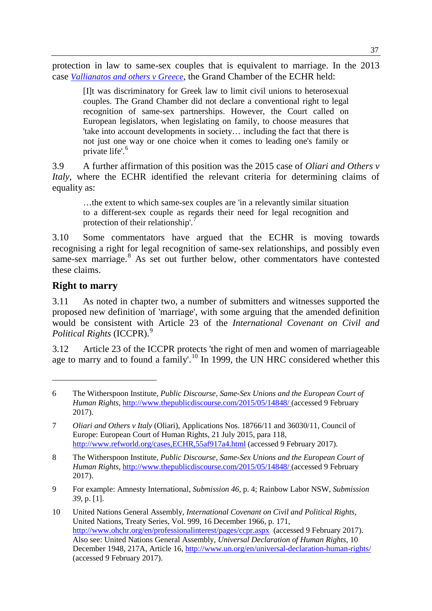protection in law to same-sex couples that is equivalent to marriage. In the 2013 case *[Vallianatos and others v Greece](http://hudoc.echr.coe.int/eng#%7B%22itemid%22:%5B%22001-128294%22%5D%7D)*, the Grand Chamber of the ECHR held:

[I]t was discriminatory for Greek law to limit civil unions to heterosexual couples. The Grand Chamber did not declare a conventional right to legal recognition of same-sex partnerships. However, the Court called on European legislators, when legislating on family, to choose measures that 'take into account developments in society… including the fact that there is not just one way or one choice when it comes to leading one's family or private life'. [6](#page-2-0)

3.9 A further affirmation of this position was the 2015 case of *Oliari and Others v Italy*, where the ECHR identified the relevant criteria for determining claims of equality as:

…the extent to which same-sex couples are 'in a relevantly similar situation to a different-sex couple as regards their need for legal recognition and protection of their relationship'.<sup>[7](#page-2-1)</sup>

3.10 Some commentators have argued that the ECHR is moving towards recognising a right for legal recognition of same-sex relationships, and possibly even same-sex marriage. [8](#page-2-2) As set out further below, other commentators have contested these claims.

# **Right to marry**

-

3.11 As noted in chapter two, a number of submitters and witnesses supported the proposed new definition of 'marriage', with some arguing that the amended definition would be consistent with Article 23 of the *International Covenant on Civil and Political Rights* (ICCPR).[9](#page-2-3)

3.12 Article 23 of the ICCPR protects 'the right of men and women of marriageable age to marry and to found a family'.<sup>[10](#page-2-4)</sup> In 1999, the UN HRC considered whether this

<span id="page-2-0"></span><sup>6</sup> The Witherspoon Institute, *Public Discourse, Same-Sex Unions and the European Court of Human Rights*,<http://www.thepublicdiscourse.com/2015/05/14848/> (accessed 9 February 2017).

<span id="page-2-1"></span><sup>7</sup> *Oliari and Others v Italy* (Oliari), Applications Nos. 18766/11 and 36030/11, Council of Europe: European Court of Human Rights, 21 July 2015, para 118, <http://www.refworld.org/cases,ECHR,55af917a4.html> (accessed 9 February 2017).

<span id="page-2-2"></span><sup>8</sup> The Witherspoon Institute, *Public Discourse, Same-Sex Unions and the European Court of Human Rights*,<http://www.thepublicdiscourse.com/2015/05/14848/> (accessed 9 February 2017).

<span id="page-2-3"></span><sup>9</sup> For example: Amnesty International, *Submission 46*, p. 4; Rainbow Labor NSW, *Submission 39*, p. [1].

<span id="page-2-4"></span><sup>10</sup> United Nations General Assembly, *International Covenant on Civil and Political Rights*, United Nations, Treaty Series, Vol. 999, 16 December 1966, p. 171, <http://www.ohchr.org/en/professionalinterest/pages/ccpr.aspx>(accessed 9 February 2017). Also see: United Nations General Assembly, *Universal Declaration of Human Rights*, 10 December 1948, 217A, Article 16,<http://www.un.org/en/universal-declaration-human-rights/> (accessed 9 February 2017).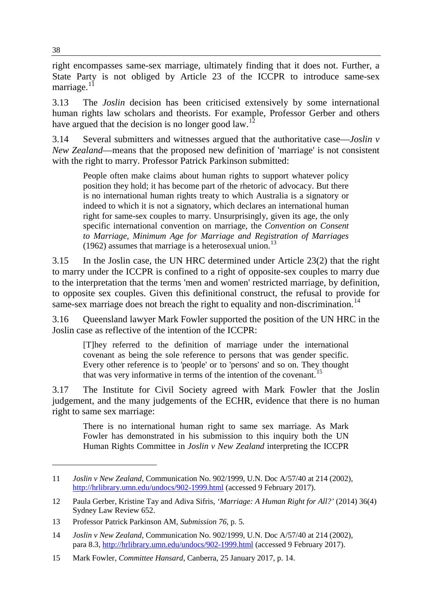right encompasses same-sex marriage, ultimately finding that it does not. Further, a State Party is not obliged by Article 23 of the ICCPR to introduce same-sex marriage. $11$ 

3.13 The *Joslin* decision has been criticised extensively by some international human rights law scholars and theorists. For example, Professor Gerber and others have argued that the decision is no longer good law.<sup>[12](#page-3-1)</sup>

3.14 Several submitters and witnesses argued that the authoritative case—*Joslin v New Zealand*—means that the proposed new definition of 'marriage' is not consistent with the right to marry. Professor Patrick Parkinson submitted:

People often make claims about human rights to support whatever policy position they hold; it has become part of the rhetoric of advocacy. But there is no international human rights treaty to which Australia is a signatory or indeed to which it is not a signatory, which declares an international human right for same-sex couples to marry. Unsurprisingly, given its age, the only specific international convention on marriage, the *Convention on Consent to Marriage, Minimum Age for Marriage and Registration of Marriages* (1962) assumes that marriage is a heterosexual union.<sup>[13](#page-3-2)</sup>

3.15 In the Joslin case, the UN HRC determined under Article 23(2) that the right to marry under the ICCPR is confined to a right of opposite-sex couples to marry due to the interpretation that the terms 'men and women' restricted marriage, by definition, to opposite sex couples. Given this definitional construct, the refusal to provide for same-sex marriage does not breach the right to equality and non-discrimination.<sup>14</sup>

3.16 Queensland lawyer Mark Fowler supported the position of the UN HRC in the Joslin case as reflective of the intention of the ICCPR:

[T]hey referred to the definition of marriage under the international covenant as being the sole reference to persons that was gender specific. Every other reference is to 'people' or to 'persons' and so on. They thought that was very informative in terms of the intention of the covenant.<sup>[15](#page-3-4)</sup>

3.17 The Institute for Civil Society agreed with Mark Fowler that the Joslin judgement, and the many judgements of the ECHR, evidence that there is no human right to same sex marriage:

There is no international human right to same sex marriage. As Mark Fowler has demonstrated in his submission to this inquiry both the UN Human Rights Committee in *Joslin v New Zealand* interpreting the ICCPR

<span id="page-3-0"></span><sup>11</sup> *Joslin v New Zealand*, Communication No. 902/1999, U.N. Doc A/57/40 at 214 (2002), <http://hrlibrary.umn.edu/undocs/902-1999.html> (accessed 9 February 2017).

<span id="page-3-1"></span><sup>12</sup> Paula Gerber, Kristine Tay and Adiva Sifris, *'Marriage: A Human Right for All?'* (2014) 36(4) Sydney Law Review 652.

<span id="page-3-2"></span><sup>13</sup> Professor Patrick Parkinson AM, *Submission 76*, p. 5.

<span id="page-3-3"></span><sup>14</sup> *Joslin v New Zealand*, Communication No. 902/1999, U.N. Doc A/57/40 at 214 (2002), para 8.3,<http://hrlibrary.umn.edu/undocs/902-1999.html> (accessed 9 February 2017).

<span id="page-3-4"></span><sup>15</sup> Mark Fowler, *Committee Hansard*, Canberra, 25 January 2017, p. 14.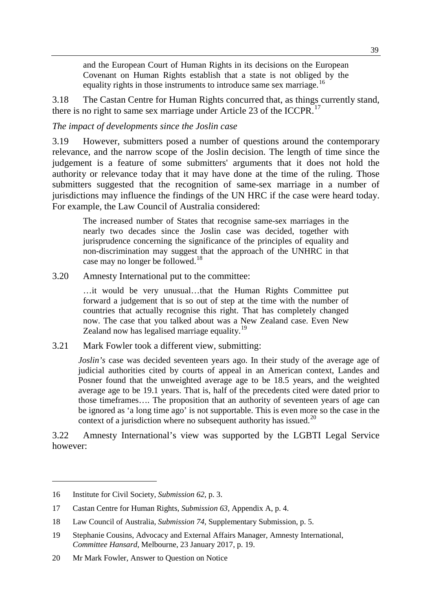and the European Court of Human Rights in its decisions on the European Covenant on Human Rights establish that a state is not obliged by the equality rights in those instruments to introduce same sex marriage.<sup>16</sup>

3.18 The Castan Centre for Human Rights concurred that, as things currently stand, there is no right to same sex marriage under Article 23 of the ICCPR.<sup>[17](#page-4-1)</sup>

### *The impact of developments since the Joslin case*

3.19 However, submitters posed a number of questions around the contemporary relevance, and the narrow scope of the Joslin decision. The length of time since the judgement is a feature of some submitters' arguments that it does not hold the authority or relevance today that it may have done at the time of the ruling. Those submitters suggested that the recognition of same-sex marriage in a number of jurisdictions may influence the findings of the UN HRC if the case were heard today. For example, the Law Council of Australia considered:

The increased number of States that recognise same-sex marriages in the nearly two decades since the Joslin case was decided, together with jurisprudence concerning the significance of the principles of equality and non-discrimination may suggest that the approach of the UNHRC in that case may no longer be followed.<sup>[18](#page-4-2)</sup>

3.20 Amnesty International put to the committee:

…it would be very unusual…that the Human Rights Committee put forward a judgement that is so out of step at the time with the number of countries that actually recognise this right. That has completely changed now. The case that you talked about was a New Zealand case. Even New Zealand now has legalised marriage equality.<sup>[19](#page-4-3)</sup>

3.21 Mark Fowler took a different view, submitting:

*Joslin's* case was decided seventeen years ago. In their study of the average age of judicial authorities cited by courts of appeal in an American context, Landes and Posner found that the unweighted average age to be 18.5 years, and the weighted average age to be 19.1 years. That is, half of the precedents cited were dated prior to those timeframes…. The proposition that an authority of seventeen years of age can be ignored as 'a long time ago' is not supportable. This is even more so the case in the context of a jurisdiction where no subsequent authority has issued.<sup>[20](#page-4-4)</sup>

3.22 Amnesty International's view was supported by the LGBTI Legal Service however:

<span id="page-4-0"></span><sup>16</sup> Institute for Civil Society, *Submission 62,* p. 3.

<span id="page-4-1"></span><sup>17</sup> Castan Centre for Human Rights, *Submission 63,* Appendix A, p. 4.

<span id="page-4-2"></span><sup>18</sup> Law Council of Australia, *Submission 74*, Supplementary Submission, p. 5.

<span id="page-4-3"></span><sup>19</sup> Stephanie Cousins, Advocacy and External Affairs Manager, Amnesty International, *Committee Hansard*, Melbourne, 23 January 2017, p. 19.

<span id="page-4-4"></span><sup>20</sup> Mr Mark Fowler, Answer to Question on Notice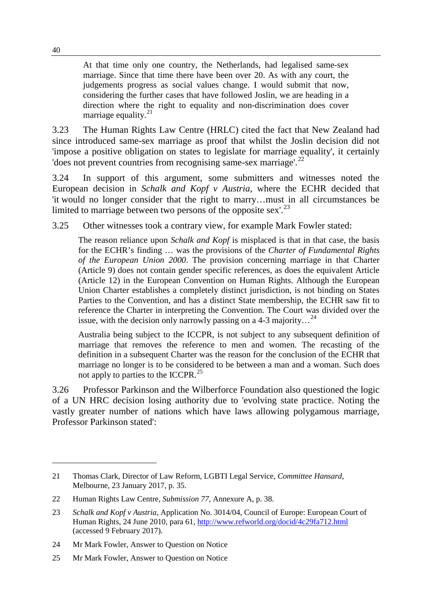At that time only one country, the Netherlands, had legalised same-sex marriage. Since that time there have been over 20. As with any court, the judgements progress as social values change. I would submit that now, considering the further cases that have followed Joslin, we are heading in a direction where the right to equality and non-discrimination does cover marriage equality. $^{21}$  $^{21}$  $^{21}$ 

3.23 The Human Rights Law Centre (HRLC) cited the fact that New Zealand had since introduced same-sex marriage as proof that whilst the Joslin decision did not 'impose a positive obligation on states to legislate for marriage equality', it certainly 'does not prevent countries from recognising same-sex marriage'.<sup>[22](#page-5-1)</sup>

3.24 In support of this argument, some submitters and witnesses noted the European decision in *Schalk and Kopf v Austria*, where the ECHR decided that 'it would no longer consider that the right to marry…must in all circumstances be limited to marriage between two persons of the opposite sex'. $^{23}$  $^{23}$  $^{23}$ 

3.25 Other witnesses took a contrary view, for example Mark Fowler stated:

The reason reliance upon *Schalk and Kopf* is misplaced is that in that case, the basis for the ECHR's finding … was the provisions of the *Charter of Fundamental Rights of the European Union 2000*. The provision concerning marriage in that Charter (Article 9) does not contain gender specific references, as does the equivalent Article (Article 12) in the European Convention on Human Rights. Although the European Union Charter establishes a completely distinct jurisdiction, is not binding on States Parties to the Convention, and has a distinct State membership, the ECHR saw fit to reference the Charter in interpreting the Convention. The Court was divided over the issue, with the decision only narrowly passing on a 4-3 majority...<sup>[24](#page-5-3)</sup>

Australia being subject to the ICCPR, is not subject to any subsequent definition of marriage that removes the reference to men and women. The recasting of the definition in a subsequent Charter was the reason for the conclusion of the ECHR that marriage no longer is to be considered to be between a man and a woman. Such does not apply to parties to the ICCPR.<sup>[25](#page-5-4)</sup>

3.26 Professor Parkinson and the Wilberforce Foundation also questioned the logic of a UN HRC decision losing authority due to 'evolving state practice. Noting the vastly greater number of nations which have laws allowing polygamous marriage, Professor Parkinson stated':

<span id="page-5-0"></span><sup>21</sup> Thomas Clark, Director of Law Reform, LGBTI Legal Service, *Committee Hansard*, Melbourne, 23 January 2017, p. 35.

<span id="page-5-1"></span><sup>22</sup> Human Rights Law Centre, *Submission 77,* Annexure A, p. 38.

<span id="page-5-2"></span><sup>23</sup> *Schalk and Kopf v Austria*, Application No. 3014/04, Council of Europe: European Court of Human Rights, 24 June 2010, para 61,<http://www.refworld.org/docid/4c29fa712.html> (accessed 9 February 2017).

<span id="page-5-3"></span><sup>24</sup> Mr Mark Fowler, Answer to Question on Notice

<span id="page-5-4"></span><sup>25</sup> Mr Mark Fowler, Answer to Question on Notice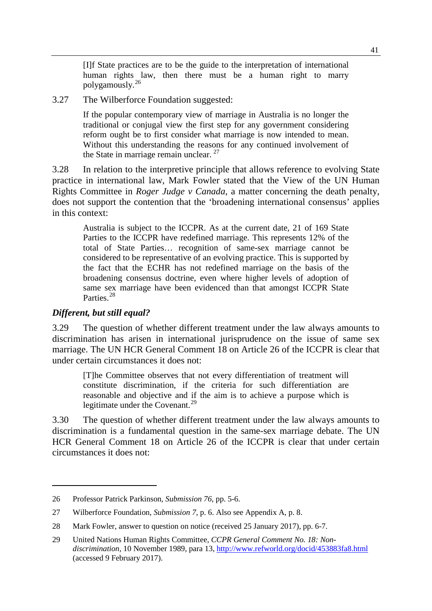[I]f State practices are to be the guide to the interpretation of international human rights law, then there must be a human right to marry polygamously.[26](#page-6-0)

3.27 The Wilberforce Foundation suggested:

If the popular contemporary view of marriage in Australia is no longer the traditional or conjugal view the first step for any government considering reform ought be to first consider what marriage is now intended to mean. Without this understanding the reasons for any continued involvement of the State in marriage remain unclear. <sup>[27](#page-6-1)</sup>

3.28 In relation to the interpretive principle that allows reference to evolving State practice in international law, Mark Fowler stated that the View of the UN Human Rights Committee in *Roger Judge v Canada*, a matter concerning the death penalty, does not support the contention that the 'broadening international consensus' applies in this context:

Australia is subject to the ICCPR. As at the current date, 21 of 169 State Parties to the ICCPR have redefined marriage. This represents 12% of the total of State Parties… recognition of same-sex marriage cannot be considered to be representative of an evolving practice. This is supported by the fact that the ECHR has not redefined marriage on the basis of the broadening consensus doctrine, even where higher levels of adoption of same sex marriage have been evidenced than that amongst ICCPR State Parties.<sup>28</sup>

#### *Different, but still equal?*

-

3.29 The question of whether different treatment under the law always amounts to discrimination has arisen in international jurisprudence on the issue of same sex marriage. The UN HCR General Comment 18 on Article 26 of the ICCPR is clear that under certain circumstances it does not:

[T]he Committee observes that not every differentiation of treatment will constitute discrimination, if the criteria for such differentiation are reasonable and objective and if the aim is to achieve a purpose which is legitimate under the Covenant.<sup>[29](#page-6-3)</sup>

3.30 The question of whether different treatment under the law always amounts to discrimination is a fundamental question in the same-sex marriage debate. The UN HCR General Comment 18 on Article 26 of the ICCPR is clear that under certain circumstances it does not:

<span id="page-6-0"></span><sup>26</sup> Professor Patrick Parkinson, *Submission 76*, pp. 5-6.

<span id="page-6-1"></span><sup>27</sup> Wilberforce Foundation, *Submission 7*, p. 6. Also see Appendix A, p. 8.

<span id="page-6-2"></span><sup>28</sup> Mark Fowler, answer to question on notice (received 25 January 2017), pp. 6-7.

<span id="page-6-3"></span><sup>29</sup> United Nations Human Rights Committee, *CCPR General Comment No. 18: Nondiscrimination*, 10 November 1989, para 13[, http://www.refworld.org/docid/453883fa8.html](http://www.refworld.org/docid/453883fa8.html) (accessed 9 February 2017).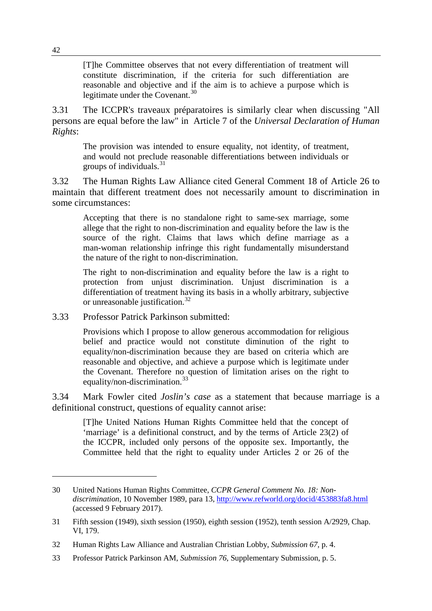[T]he Committee observes that not every differentiation of treatment will constitute discrimination, if the criteria for such differentiation are reasonable and objective and if the aim is to achieve a purpose which is legitimate under the Covenant.<sup>[30](#page-7-0)</sup>

3.31 The ICCPR's traveaux préparatoires is similarly clear when discussing "All persons are equal before the law" in Article 7 of the *Universal Declaration of Human Rights*:

The provision was intended to ensure equality, not identity, of treatment, and would not preclude reasonable differentiations between individuals or groups of individuals.[31](#page-7-1)

3.32 The Human Rights Law Alliance cited General Comment 18 of Article 26 to maintain that different treatment does not necessarily amount to discrimination in some circumstances:

Accepting that there is no standalone right to same-sex marriage, some allege that the right to non-discrimination and equality before the law is the source of the right. Claims that laws which define marriage as a man-woman relationship infringe this right fundamentally misunderstand the nature of the right to non-discrimination.

The right to non-discrimination and equality before the law is a right to protection from unjust discrimination. Unjust discrimination is a differentiation of treatment having its basis in a wholly arbitrary, subjective or unreasonable justification.<sup>[32](#page-7-2)</sup>

3.33 Professor Patrick Parkinson submitted:

Provisions which I propose to allow generous accommodation for religious belief and practice would not constitute diminution of the right to equality/non-discrimination because they are based on criteria which are reasonable and objective, and achieve a purpose which is legitimate under the Covenant. Therefore no question of limitation arises on the right to equality/non-discrimination.<sup>[33](#page-7-3)</sup>

3.34 Mark Fowler cited *Joslin's case* as a statement that because marriage is a definitional construct, questions of equality cannot arise:

[T]he United Nations Human Rights Committee held that the concept of 'marriage' is a definitional construct, and by the terms of Article 23(2) of the ICCPR, included only persons of the opposite sex. Importantly, the Committee held that the right to equality under Articles 2 or 26 of the

<span id="page-7-0"></span><sup>30</sup> United Nations Human Rights Committee, *CCPR General Comment No. 18: Nondiscrimination*, 10 November 1989, para 13[, http://www.refworld.org/docid/453883fa8.html](http://www.refworld.org/docid/453883fa8.html) (accessed 9 February 2017).

<span id="page-7-1"></span><sup>31</sup> Fifth session (1949), sixth session (1950), eighth session (1952), tenth session A/2929, Chap. VI, 179.

<span id="page-7-2"></span><sup>32</sup> Human Rights Law Alliance and Australian Christian Lobby, *Submission 67,* p. 4.

<span id="page-7-3"></span><sup>33</sup> Professor Patrick Parkinson AM, *Submission 76*, Supplementary Submission, p. 5.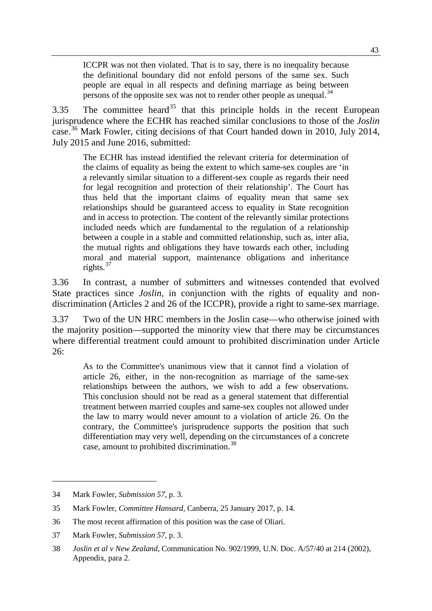ICCPR was not then violated. That is to say, there is no inequality because the definitional boundary did not enfold persons of the same sex. Such people are equal in all respects and defining marriage as being between persons of the opposite sex was not to render other people as unequal.<sup>[34](#page-8-0)</sup>

3.[35](#page-8-1) The committee heard<sup>35</sup> that this principle holds in the recent European jurisprudence where the ECHR has reached similar conclusions to those of the *Joslin*  case.[36](#page-8-2) Mark Fowler, citing decisions of that Court handed down in 2010, July 2014, July 2015 and June 2016, submitted:

The ECHR has instead identified the relevant criteria for determination of the claims of equality as being the extent to which same-sex couples are 'in a relevantly similar situation to a different-sex couple as regards their need for legal recognition and protection of their relationship'. The Court has thus held that the important claims of equality mean that same sex relationships should be guaranteed access to equality in State recognition and in access to protection. The content of the relevantly similar protections included needs which are fundamental to the regulation of a relationship between a couple in a stable and committed relationship, such as, inter alia, the mutual rights and obligations they have towards each other, including moral and material support, maintenance obligations and inheritance rights.[37](#page-8-3)

3.36 In contrast, a number of submitters and witnesses contended that evolved State practices since *Joslin,* in conjunction with the rights of equality and nondiscrimination (Articles 2 and 26 of the ICCPR), provide a right to same-sex marriage.

3.37 Two of the UN HRC members in the Joslin case—who otherwise joined with the majority position—supported the minority view that there may be circumstances where differential treatment could amount to prohibited discrimination under Article 26:

As to the Committee's unanimous view that it cannot find a violation of article 26, either, in the non-recognition as marriage of the same-sex relationships between the authors, we wish to add a few observations. This conclusion should not be read as a general statement that differential treatment between married couples and same-sex couples not allowed under the law to marry would never amount to a violation of article 26. On the contrary, the Committee's jurisprudence supports the position that such differentiation may very well, depending on the circumstances of a concrete case, amount to prohibited discrimination.<sup>[38](#page-8-4)</sup>

<span id="page-8-0"></span><sup>34</sup> Mark Fowler, *Submission 57*, p. 3.

<span id="page-8-1"></span><sup>35</sup> Mark Fowler, *Committee Hansard,* Canberra, 25 January 2017, p. 14.

<span id="page-8-2"></span><sup>36</sup> The most recent affirmation of this position was the case of Oliari.

<span id="page-8-3"></span><sup>37</sup> Mark Fowler, *Submission 57*, p. 3.

<span id="page-8-4"></span><sup>38</sup> *Joslin et al v New Zealand*, Communication No. 902/1999, U.N. Doc. A/57/40 at 214 (2002), Appendix, para 2.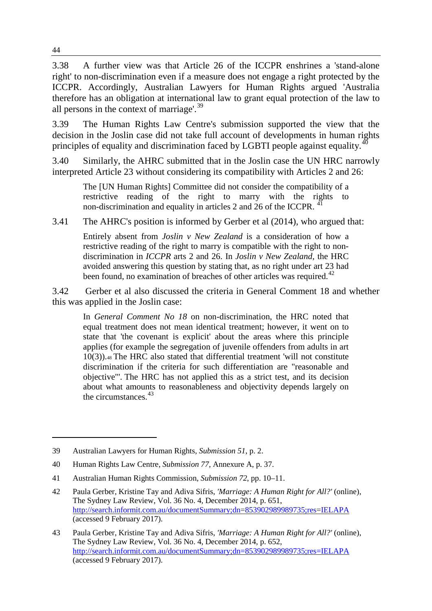3.38 A further view was that Article 26 of the ICCPR enshrines a 'stand-alone right' to non-discrimination even if a measure does not engage a right protected by the ICCPR. Accordingly, Australian Lawyers for Human Rights argued 'Australia therefore has an obligation at international law to grant equal protection of the law to all persons in the context of marriage'.<sup>[39](#page-9-0)</sup>

3.39 The Human Rights Law Centre's submission supported the view that the decision in the Joslin case did not take full account of developments in human rights principles of equality and discrimination faced by LGBTI people against equality.<sup>[40](#page-9-1)</sup>

3.40 Similarly, the AHRC submitted that in the Joslin case the UN HRC narrowly interpreted Article 23 without considering its compatibility with Articles 2 and 26:

The [UN Human Rights] Committee did not consider the compatibility of a restrictive reading of the right to marry with the rights to non-discrimination and equality in articles 2 and 26 of the ICCPR.<sup>[41](#page-9-2)</sup>

3.41 The AHRC's position is informed by Gerber et al (2014), who argued that:

Entirely absent from *Joslin v New Zealand* is a consideration of how a restrictive reading of the right to marry is compatible with the right to nondiscrimination in *ICCPR* arts 2 and 26. In *Joslin v New Zealand*, the HRC avoided answering this question by stating that, as no right under art 23 had been found, no examination of breaches of other articles was required.<sup>[42](#page-9-3)</sup>

3.42 Gerber et al also discussed the criteria in General Comment 18 and whether this was applied in the Joslin case:

In *General Comment No 18* on non-discrimination, the HRC noted that equal treatment does not mean identical treatment; however, it went on to state that 'the covenant is explicit' about the areas where this principle applies (for example the segregation of juvenile offenders from adults in art 10(3)).48 The HRC also stated that differential treatment 'will not constitute discrimination if the criteria for such differentiation are "reasonable and objective"'. The HRC has not applied this as a strict test, and its decision about what amounts to reasonableness and objectivity depends largely on the circumstances.<sup>[43](#page-9-4)</sup>

<span id="page-9-0"></span><sup>39</sup> Australian Lawyers for Human Rights, *Submission 51*, p. 2.

<span id="page-9-1"></span><sup>40</sup> Human Rights Law Centre, *Submission 77,* Annexure A, p. 37.

<span id="page-9-2"></span><sup>41</sup> Australian Human Rights Commission, *Submission 72*, pp. 10–11.

<span id="page-9-3"></span><sup>42</sup> Paula Gerber, Kristine Tay and Adiva Sifris, *'Marriage: A Human Right for All?'* (online), The Sydney Law Review, Vol. 36 No. 4, December 2014, p. 651, <http://search.informit.com.au/documentSummary;dn=853902989989735;res=IELAPA> (accessed 9 February 2017).

<span id="page-9-4"></span><sup>43</sup> Paula Gerber, Kristine Tay and Adiva Sifris, *'Marriage: A Human Right for All?'* (online), The Sydney Law Review, Vol. 36 No. 4, December 2014, p. 652, <http://search.informit.com.au/documentSummary;dn=853902989989735;res=IELAPA> (accessed 9 February 2017).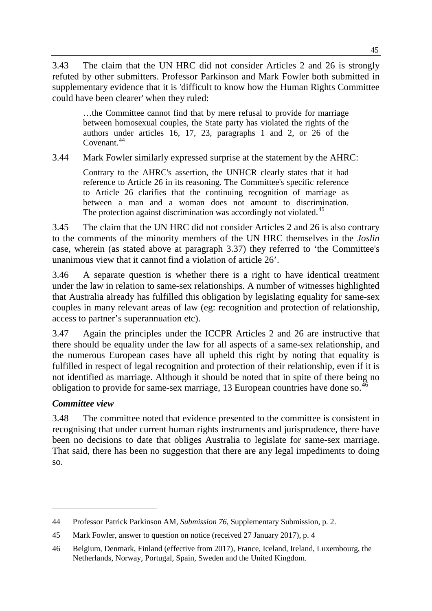3.43 The claim that the UN HRC did not consider Articles 2 and 26 is strongly refuted by other submitters. Professor Parkinson and Mark Fowler both submitted in supplementary evidence that it is 'difficult to know how the Human Rights Committee could have been clearer' when they ruled:

…the Committee cannot find that by mere refusal to provide for marriage between homosexual couples, the State party has violated the rights of the authors under articles 16, 17, 23, paragraphs 1 and 2, or 26 of the Covenant.<sup>[44](#page-10-0)</sup>

3.44 Mark Fowler similarly expressed surprise at the statement by the AHRC:

Contrary to the AHRC's assertion, the UNHCR clearly states that it had reference to Article 26 in its reasoning. The Committee's specific reference to Article 26 clarifies that the continuing recognition of marriage as between a man and a woman does not amount to discrimination. The protection against discrimination was accordingly not violated.<sup>[45](#page-10-1)</sup>

3.45 The claim that the UN HRC did not consider Articles 2 and 26 is also contrary to the comments of the minority members of the UN HRC themselves in the *Joslin* case, wherein (as stated above at paragraph 3.37) they referred to 'the Committee's unanimous view that it cannot find a violation of article 26'.

3.46 A separate question is whether there is a right to have identical treatment under the law in relation to same-sex relationships. A number of witnesses highlighted that Australia already has fulfilled this obligation by legislating equality for same-sex couples in many relevant areas of law (eg: recognition and protection of relationship, access to partner's superannuation etc).

3.47 Again the principles under the ICCPR Articles 2 and 26 are instructive that there should be equality under the law for all aspects of a same-sex relationship, and the numerous European cases have all upheld this right by noting that equality is fulfilled in respect of legal recognition and protection of their relationship, even if it is not identified as marriage. Although it should be noted that in spite of there being no obligation to provide for same-sex marriage, 13 European countries have done so.<sup>46</sup>

# *Committee view*

-

3.48 The committee noted that evidence presented to the committee is consistent in recognising that under current human rights instruments and jurisprudence, there have been no decisions to date that obliges Australia to legislate for same-sex marriage. That said, there has been no suggestion that there are any legal impediments to doing so.

<span id="page-10-0"></span><sup>44</sup> Professor Patrick Parkinson AM, *Submission 76*, Supplementary Submission, p. 2.

<span id="page-10-1"></span><sup>45</sup> Mark Fowler, answer to question on notice (received 27 January 2017), p. 4

<span id="page-10-2"></span><sup>46</sup> Belgium, Denmark, Finland (effective from 2017), France, Iceland, Ireland, Luxembourg, the Netherlands, Norway, Portugal, Spain, Sweden and the United Kingdom.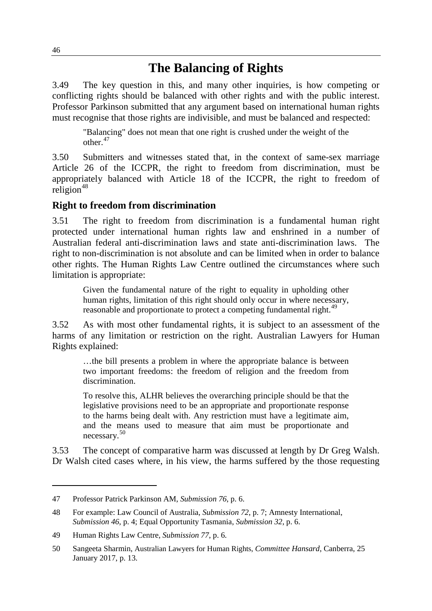# **The Balancing of Rights**

3.49 The key question in this, and many other inquiries, is how competing or conflicting rights should be balanced with other rights and with the public interest. Professor Parkinson submitted that any argument based on international human rights must recognise that those rights are indivisible, and must be balanced and respected:

"Balancing" does not mean that one right is crushed under the weight of the other.<sup>[47](#page-11-0)</sup>

3.50 Submitters and witnesses stated that, in the context of same-sex marriage Article 26 of the ICCPR, the right to freedom from discrimination, must be appropriately balanced with Article 18 of the ICCPR, the right to freedom of  $religion<sup>48</sup>$  $religion<sup>48</sup>$  $religion<sup>48</sup>$ 

## **Right to freedom from discrimination**

3.51 The right to freedom from discrimination is a fundamental human right protected under international human rights law and enshrined in a number of Australian federal anti-discrimination laws and state anti-discrimination laws. The right to non-discrimination is not absolute and can be limited when in order to balance other rights. The Human Rights Law Centre outlined the circumstances where such limitation is appropriate:

Given the fundamental nature of the right to equality in upholding other human rights, limitation of this right should only occur in where necessary, reasonable and proportionate to protect a competing fundamental right.<sup>[49](#page-11-2)</sup>

3.52 As with most other fundamental rights, it is subject to an assessment of the harms of any limitation or restriction on the right. Australian Lawyers for Human Rights explained:

…the bill presents a problem in where the appropriate balance is between two important freedoms: the freedom of religion and the freedom from discrimination.

To resolve this, ALHR believes the overarching principle should be that the legislative provisions need to be an appropriate and proportionate response to the harms being dealt with. Any restriction must have a legitimate aim, and the means used to measure that aim must be proportionate and necessary.[50](#page-11-3)

3.53 The concept of comparative harm was discussed at length by Dr Greg Walsh. Dr Walsh cited cases where, in his view, the harms suffered by the those requesting

<span id="page-11-0"></span><sup>47</sup> Professor Patrick Parkinson AM, *Submission 76*, p. 6.

<span id="page-11-1"></span><sup>48</sup> For example: Law Council of Australia, *Submission 72*, p. 7; Amnesty International, *Submission 46*, p. 4; Equal Opportunity Tasmania, *Submission 32*, p. 6.

<span id="page-11-2"></span><sup>49</sup> Human Rights Law Centre, *Submission 77*, p. 6.

<span id="page-11-3"></span><sup>50</sup> Sangeeta Sharmin, Australian Lawyers for Human Rights, *Committee Hansard*, Canberra, 25 January 2017, p. 13.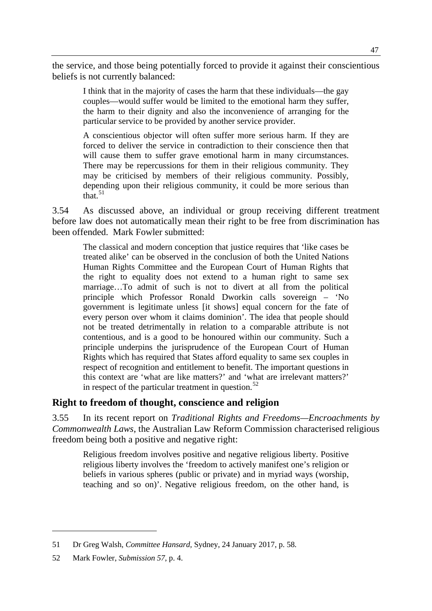the service, and those being potentially forced to provide it against their conscientious beliefs is not currently balanced:

I think that in the majority of cases the harm that these individuals—the gay couples—would suffer would be limited to the emotional harm they suffer, the harm to their dignity and also the inconvenience of arranging for the particular service to be provided by another service provider.

A conscientious objector will often suffer more serious harm. If they are forced to deliver the service in contradiction to their conscience then that will cause them to suffer grave emotional harm in many circumstances. There may be repercussions for them in their religious community. They may be criticised by members of their religious community. Possibly, depending upon their religious community, it could be more serious than that $\frac{51}{1}$  $\frac{51}{1}$  $\frac{51}{1}$ 

3.54 As discussed above, an individual or group receiving different treatment before law does not automatically mean their right to be free from discrimination has been offended. Mark Fowler submitted:

The classical and modern conception that justice requires that 'like cases be treated alike' can be observed in the conclusion of both the United Nations Human Rights Committee and the European Court of Human Rights that the right to equality does not extend to a human right to same sex marriage…To admit of such is not to divert at all from the political principle which Professor Ronald Dworkin calls sovereign – 'No government is legitimate unless [it shows] equal concern for the fate of every person over whom it claims dominion'. The idea that people should not be treated detrimentally in relation to a comparable attribute is not contentious, and is a good to be honoured within our community. Such a principle underpins the jurisprudence of the European Court of Human Rights which has required that States afford equality to same sex couples in respect of recognition and entitlement to benefit. The important questions in this context are 'what are like matters?' and 'what are irrelevant matters?' in respect of the particular treatment in question. $52$ 

## **Right to freedom of thought, conscience and religion**

3.55 In its recent report on *Traditional Rights and Freedoms—Encroachments by Commonwealth Laws*, the Australian Law Reform Commission characterised religious freedom being both a positive and negative right:

Religious freedom involves positive and negative religious liberty. Positive religious liberty involves the 'freedom to actively manifest one's religion or beliefs in various spheres (public or private) and in myriad ways (worship, teaching and so on)'. Negative religious freedom, on the other hand, is

<span id="page-12-0"></span><sup>51</sup> Dr Greg Walsh, *Committee Hansard,* Sydney, 24 January 2017, p. 58.

<span id="page-12-1"></span><sup>52</sup> Mark Fowler, *Submission 57*, p. 4.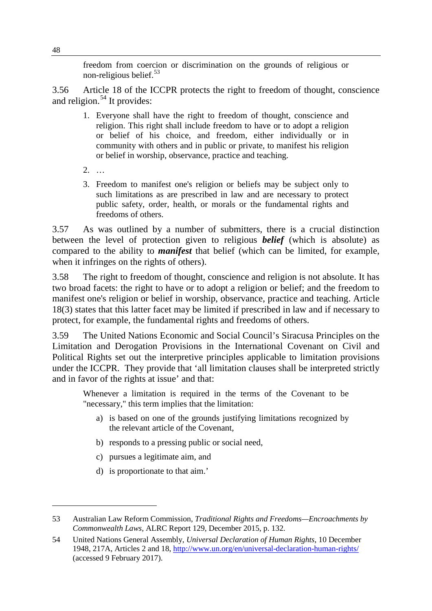freedom from coercion or discrimination on the grounds of religious or non-religious belief. $53$ 

3.56 Article 18 of the ICCPR protects the right to freedom of thought, conscience and religion. $54$  It provides:

- 1. Everyone shall have the right to freedom of thought, conscience and religion. This right shall include freedom to have or to adopt a religion or belief of his choice, and freedom, either individually or in community with others and in public or private, to manifest his religion or belief in worship, observance, practice and teaching.
- 2. …
- 3. Freedom to manifest one's religion or beliefs may be subject only to such limitations as are prescribed in law and are necessary to protect public safety, order, health, or morals or the fundamental rights and freedoms of others.

3.57 As was outlined by a number of submitters, there is a crucial distinction between the level of protection given to religious *belief* (which is absolute) as compared to the ability to *manifest* that belief (which can be limited, for example, when it infringes on the rights of others).

3.58 The right to freedom of thought, conscience and religion is not absolute. It has two broad facets: the right to have or to adopt a religion or belief; and the freedom to manifest one's religion or belief in worship, observance, practice and teaching. Article 18(3) states that this latter facet may be limited if prescribed in law and if necessary to protect, for example, the fundamental rights and freedoms of others.

3.59 The United Nations Economic and Social Council's Siracusa Principles on the Limitation and Derogation Provisions in the International Covenant on Civil and Political Rights set out the interpretive principles applicable to limitation provisions under the ICCPR. They provide that 'all limitation clauses shall be interpreted strictly and in favor of the rights at issue' and that:

Whenever a limitation is required in the terms of the Covenant to be "necessary," this term implies that the limitation:

- a) is based on one of the grounds justifying limitations recognized by the relevant article of the Covenant,
- b) responds to a pressing public or social need,
- c) pursues a legitimate aim, and
- d) is proportionate to that aim.'

<span id="page-13-0"></span><sup>53</sup> Australian Law Reform Commission, *Traditional Rights and Freedoms—Encroachments by Commonwealth Laws,* ALRC Report 129, December 2015, p. 132.

<span id="page-13-1"></span><sup>54</sup> United Nations General Assembly, *Universal Declaration of Human Rights*, 10 December 1948, 217A, Articles 2 and 18[, http://www.un.org/en/universal-declaration-human-rights/](http://www.un.org/en/universal-declaration-human-rights/) (accessed 9 February 2017).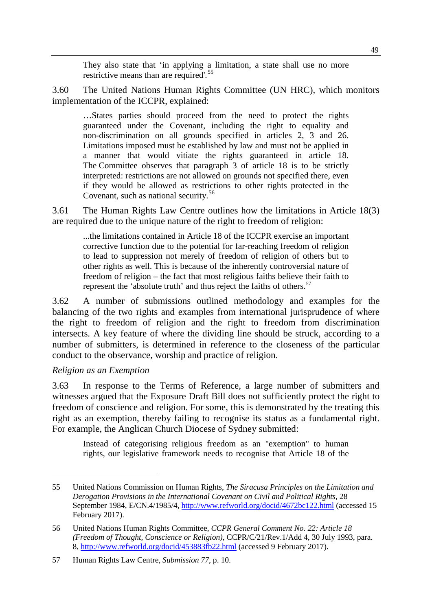They also state that 'in applying a limitation, a state shall use no more restrictive means than are required'.<sup>[55](#page-14-0)</sup>

3.60 The United Nations Human Rights Committee (UN HRC), which monitors implementation of the ICCPR, explained:

…States parties should proceed from the need to protect the rights guaranteed under the Covenant, including the right to equality and non-discrimination on all grounds specified in articles 2, 3 and 26. Limitations imposed must be established by law and must not be applied in a manner that would vitiate the rights guaranteed in article 18. The Committee observes that paragraph 3 of article 18 is to be strictly interpreted: restrictions are not allowed on grounds not specified there, even if they would be allowed as restrictions to other rights protected in the Covenant, such as national security.<sup>[56](#page-14-1)</sup>

3.61 The Human Rights Law Centre outlines how the limitations in Article 18(3) are required due to the unique nature of the right to freedom of religion:

...the limitations contained in Article 18 of the ICCPR exercise an important corrective function due to the potential for far-reaching freedom of religion to lead to suppression not merely of freedom of religion of others but to other rights as well. This is because of the inherently controversial nature of freedom of religion – the fact that most religious faiths believe their faith to represent the 'absolute truth' and thus reject the faiths of others.<sup>[57](#page-14-2)</sup>

3.62 A number of submissions outlined methodology and examples for the balancing of the two rights and examples from international jurisprudence of where the right to freedom of religion and the right to freedom from discrimination intersects. A key feature of where the dividing line should be struck, according to a number of submitters, is determined in reference to the closeness of the particular conduct to the observance, worship and practice of religion.

#### *Religion as an Exemption*

-

3.63 In response to the Terms of Reference, a large number of submitters and witnesses argued that the Exposure Draft Bill does not sufficiently protect the right to freedom of conscience and religion. For some, this is demonstrated by the treating this right as an exemption, thereby failing to recognise its status as a fundamental right. For example, the Anglican Church Diocese of Sydney submitted:

Instead of categorising religious freedom as an "exemption" to human rights, our legislative framework needs to recognise that Article 18 of the

<span id="page-14-0"></span><sup>55</sup> United Nations Commission on Human Rights, *The Siracusa Principles on the Limitation and Derogation Provisions in the International Covenant on Civil and Political Rights*, 28 September 1984, E/CN.4/1985/4, <http://www.refworld.org/docid/4672bc122.html> (accessed 15 February 2017).

<span id="page-14-1"></span><sup>56</sup> United Nations Human Rights Committee, *CCPR General Comment No. 22: Article 18 (Freedom of Thought, Conscience or Religion)*, CCPR/C/21/Rev.1/Add 4, 30 July 1993, para. 8,<http://www.refworld.org/docid/453883fb22.html> (accessed 9 February 2017).

<span id="page-14-2"></span><sup>57</sup> Human Rights Law Centre, *Submission 77*, p. 10.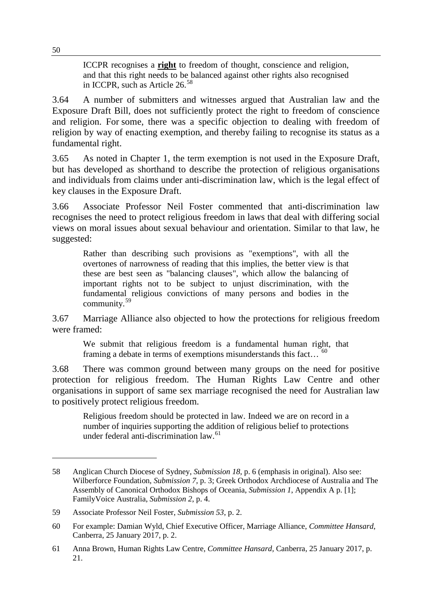ICCPR recognises a **right** to freedom of thought, conscience and religion, and that this right needs to be balanced against other rights also recognised in ICCPR, such as Article 26.[58](#page-15-0)

3.64 A number of submitters and witnesses argued that Australian law and the Exposure Draft Bill, does not sufficiently protect the right to freedom of conscience and religion. For some, there was a specific objection to dealing with freedom of religion by way of enacting exemption, and thereby failing to recognise its status as a fundamental right.

3.65 As noted in Chapter 1, the term exemption is not used in the Exposure Draft, but has developed as shorthand to describe the protection of religious organisations and individuals from claims under anti-discrimination law, which is the legal effect of key clauses in the Exposure Draft.

3.66 Associate Professor Neil Foster commented that anti-discrimination law recognises the need to protect religious freedom in laws that deal with differing social views on moral issues about sexual behaviour and orientation. Similar to that law, he suggested:

Rather than describing such provisions as "exemptions", with all the overtones of narrowness of reading that this implies, the better view is that these are best seen as "balancing clauses", which allow the balancing of important rights not to be subject to unjust discrimination, with the fundamental religious convictions of many persons and bodies in the community.[59](#page-15-1)

3.67 Marriage Alliance also objected to how the protections for religious freedom were framed:

We submit that religious freedom is a fundamental human right, that framing a debate in terms of exemptions misunderstands this fact...  $^{60}$  $^{60}$  $^{60}$ 

3.68 There was common ground between many groups on the need for positive protection for religious freedom. The Human Rights Law Centre and other organisations in support of same sex marriage recognised the need for Australian law to positively protect religious freedom.

Religious freedom should be protected in law. Indeed we are on record in a number of inquiries supporting the addition of religious belief to protections under federal anti-discrimination law.<sup>[61](#page-15-3)</sup>

<span id="page-15-0"></span><sup>58</sup> Anglican Church Diocese of Sydney, *Submission 18*, p. 6 (emphasis in original). Also see: Wilberforce Foundation, *Submission 7*, p. 3; Greek Orthodox Archdiocese of Australia and The Assembly of Canonical Orthodox Bishops of Oceania, *Submission 1*, Appendix A p. [1]; FamilyVoice Australia, *Submission 2*, p. 4.

<span id="page-15-1"></span><sup>59</sup> Associate Professor Neil Foster, *Submission 53*, p. 2.

<span id="page-15-2"></span><sup>60</sup> For example: Damian Wyld, Chief Executive Officer, Marriage Alliance, *Committee Hansard*, Canberra, 25 January 2017, p. 2.

<span id="page-15-3"></span><sup>61</sup> Anna Brown, Human Rights Law Centre, *Committee Hansard,* Canberra, 25 January 2017, p. 21.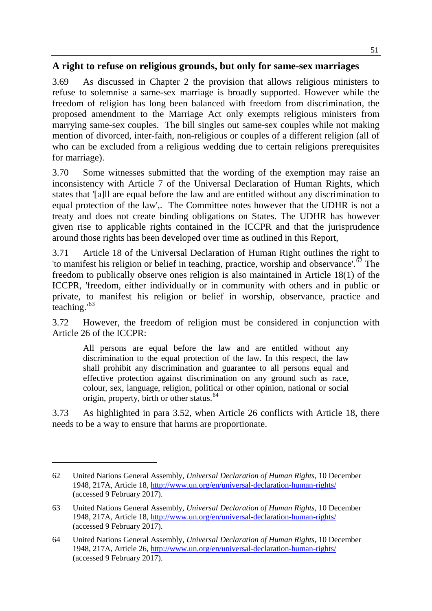# **A right to refuse on religious grounds, but only for same-sex marriages**

3.69 As discussed in Chapter 2 the provision that allows religious ministers to refuse to solemnise a same-sex marriage is broadly supported. However while the freedom of religion has long been balanced with freedom from discrimination, the proposed amendment to the Marriage Act only exempts religious ministers from marrying same-sex couples. The bill singles out same-sex couples while not making mention of divorced, inter-faith, non-religious or couples of a different religion (all of who can be excluded from a religious wedding due to certain religions prerequisites for marriage).

3.70 Some witnesses submitted that the wording of the exemption may raise an inconsistency with Article 7 of the Universal Declaration of Human Rights, which states that '[a]ll are equal before the law and are entitled without any discrimination to equal protection of the law',. The Committee notes however that the UDHR is not a treaty and does not create binding obligations on States. The UDHR has however given rise to applicable rights contained in the ICCPR and that the jurisprudence around those rights has been developed over time as outlined in this Report,

3.71 Article 18 of the Universal Declaration of Human Right outlines the right to 'to manifest his religion or belief in teaching, practice, worship and observance'.<sup>[62](#page-16-0)</sup> The freedom to publically observe ones religion is also maintained in Article 18(1) of the ICCPR, 'freedom, either individually or in community with others and in public or private, to manifest his religion or belief in worship, observance, practice and teaching.'[63](#page-16-1)

3.72 However, the freedom of religion must be considered in conjunction with Article 26 of the ICCPR:

All persons are equal before the law and are entitled without any discrimination to the equal protection of the law. In this respect, the law shall prohibit any discrimination and guarantee to all persons equal and effective protection against discrimination on any ground such as race, colour, sex, language, religion, political or other opinion, national or social origin, property, birth or other status.<sup>[64](#page-16-2)</sup>

3.73 As highlighted in para 3.52, when Article 26 conflicts with Article 18, there needs to be a way to ensure that harms are proportionate.

<span id="page-16-0"></span><sup>62</sup> United Nations General Assembly, *Universal Declaration of Human Rights*, 10 December 1948, 217A, Article 18,<http://www.un.org/en/universal-declaration-human-rights/> (accessed 9 February 2017).

<span id="page-16-1"></span><sup>63</sup> United Nations General Assembly, *Universal Declaration of Human Rights*, 10 December 1948, 217A, Article 18,<http://www.un.org/en/universal-declaration-human-rights/> (accessed 9 February 2017).

<span id="page-16-2"></span><sup>64</sup> United Nations General Assembly, *Universal Declaration of Human Rights*, 10 December 1948, 217A, Article 26,<http://www.un.org/en/universal-declaration-human-rights/> (accessed 9 February 2017).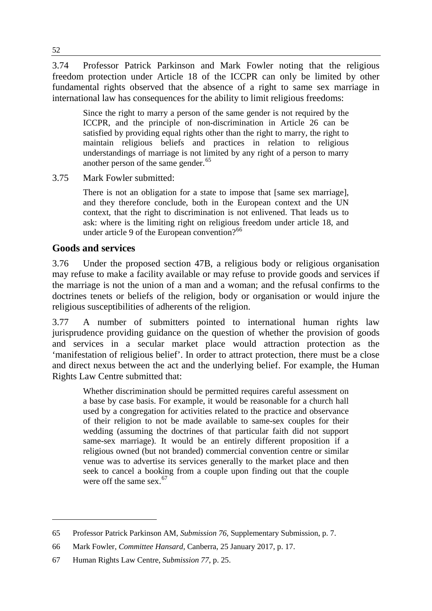3.74 Professor Patrick Parkinson and Mark Fowler noting that the religious freedom protection under Article 18 of the ICCPR can only be limited by other fundamental rights observed that the absence of a right to same sex marriage in international law has consequences for the ability to limit religious freedoms:

Since the right to marry a person of the same gender is not required by the ICCPR, and the principle of non-discrimination in Article 26 can be satisfied by providing equal rights other than the right to marry, the right to maintain religious beliefs and practices in relation to religious understandings of marriage is not limited by any right of a person to marry another person of the same gender.<sup>[65](#page-17-0)</sup>

#### 3.75 Mark Fowler submitted:

There is not an obligation for a state to impose that [same sex marriage], and they therefore conclude, both in the European context and the UN context, that the right to discrimination is not enlivened. That leads us to ask: where is the limiting right on religious freedom under article 18, and under article 9 of the European convention?<sup>[66](#page-17-1)</sup>

# **Goods and services**

-

3.76 Under the proposed section 47B, a religious body or religious organisation may refuse to make a facility available or may refuse to provide goods and services if the marriage is not the union of a man and a woman; and the refusal confirms to the doctrines tenets or beliefs of the religion, body or organisation or would injure the religious susceptibilities of adherents of the religion.

3.77 A number of submitters pointed to international human rights law jurisprudence providing guidance on the question of whether the provision of goods and services in a secular market place would attraction protection as the 'manifestation of religious belief'. In order to attract protection, there must be a close and direct nexus between the act and the underlying belief. For example, the Human Rights Law Centre submitted that:

Whether discrimination should be permitted requires careful assessment on a base by case basis. For example, it would be reasonable for a church hall used by a congregation for activities related to the practice and observance of their religion to not be made available to same-sex couples for their wedding (assuming the doctrines of that particular faith did not support same-sex marriage). It would be an entirely different proposition if a religious owned (but not branded) commercial convention centre or similar venue was to advertise its services generally to the market place and then seek to cancel a booking from a couple upon finding out that the couple were off the same sex.  $67$ 

<span id="page-17-0"></span><sup>65</sup> Professor Patrick Parkinson AM, *Submission 76*, Supplementary Submission, p. 7.

<span id="page-17-1"></span><sup>66</sup> Mark Fowler, *Committee Hansard,* Canberra, 25 January 2017, p. 17.

<span id="page-17-2"></span><sup>67</sup> Human Rights Law Centre, *Submission 77*, p. 25.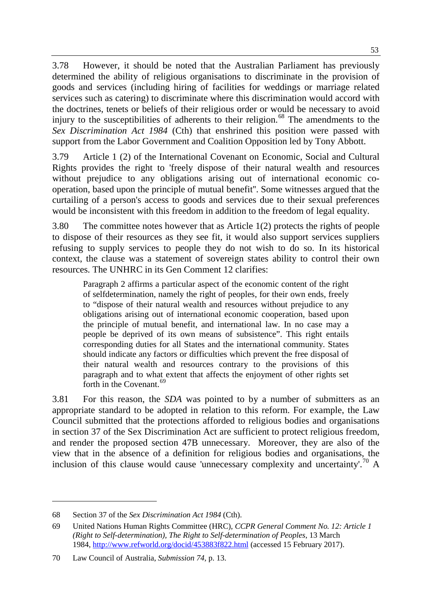3.78 However, it should be noted that the Australian Parliament has previously determined the ability of religious organisations to discriminate in the provision of goods and services (including hiring of facilities for weddings or marriage related services such as catering) to discriminate where this discrimination would accord with the doctrines, tenets or beliefs of their religious order or would be necessary to avoid injury to the susceptibilities of adherents to their religion.<sup>[68](#page-18-0)</sup> The amendments to the *Sex Discrimination Act 1984* (Cth) that enshrined this position were passed with support from the Labor Government and Coalition Opposition led by Tony Abbott.

3.79 Article 1 (2) of the International Covenant on Economic, Social and Cultural Rights provides the right to 'freely dispose of their natural wealth and resources without prejudice to any obligations arising out of international economic cooperation, based upon the principle of mutual benefit''. Some witnesses argued that the curtailing of a person's access to goods and services due to their sexual preferences would be inconsistent with this freedom in addition to the freedom of legal equality.

3.80 The committee notes however that as Article 1(2) protects the rights of people to dispose of their resources as they see fit, it would also support services suppliers refusing to supply services to people they do not wish to do so. In its historical context, the clause was a statement of sovereign states ability to control their own resources. The UNHRC in its Gen Comment 12 clarifies:

Paragraph 2 affirms a particular aspect of the economic content of the right of selfdetermination, namely the right of peoples, for their own ends, freely to "dispose of their natural wealth and resources without prejudice to any obligations arising out of international economic cooperation, based upon the principle of mutual benefit, and international law. In no case may a people be deprived of its own means of subsistence". This right entails corresponding duties for all States and the international community. States should indicate any factors or difficulties which prevent the free disposal of their natural wealth and resources contrary to the provisions of this paragraph and to what extent that affects the enjoyment of other rights set forth in the Covenant.<sup>69</sup>

3.81 For this reason, the *SDA* was pointed to by a number of submitters as an appropriate standard to be adopted in relation to this reform. For example, the Law Council submitted that the protections afforded to religious bodies and organisations in section 37 of the Sex Discrimination Act are sufficient to protect religious freedom, and render the proposed section 47B unnecessary. Moreover, they are also of the view that in the absence of a definition for religious bodies and organisations, the inclusion of this clause would cause 'unnecessary complexity and uncertainty'.<sup>[70](#page-18-2)</sup> A

<span id="page-18-0"></span><sup>68</sup> Section 37 of the *Sex Discrimination Act 1984* (Cth).

<span id="page-18-1"></span><sup>69</sup> United Nations Human Rights Committee (HRC), *CCPR General Comment No. 12: Article 1 (Right to Self-determination), The Right to Self-determination of Peoples*, 13 March 1984, <http://www.refworld.org/docid/453883f822.html> (accessed 15 February 2017).

<span id="page-18-2"></span><sup>70</sup> Law Council of Australia, *Submission 74,* p. 13.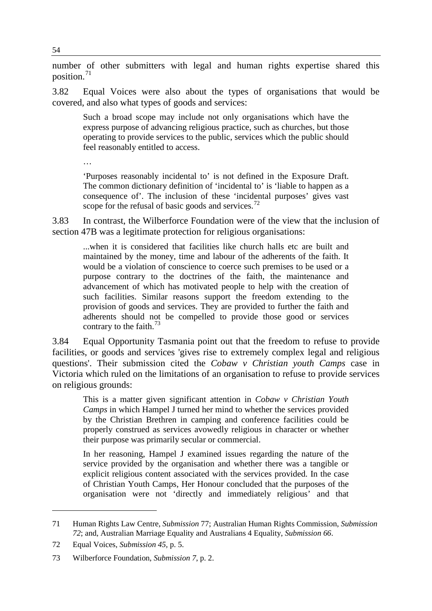number of other submitters with legal and human rights expertise shared this position. $71$ 

3.82 Equal Voices were also about the types of organisations that would be covered, and also what types of goods and services:

Such a broad scope may include not only organisations which have the express purpose of advancing religious practice, such as churches, but those operating to provide services to the public, services which the public should feel reasonably entitled to access.

…

'Purposes reasonably incidental to' is not defined in the Exposure Draft. The common dictionary definition of 'incidental to' is 'liable to happen as a consequence of'. The inclusion of these 'incidental purposes' gives vast scope for the refusal of basic goods and services.<sup>[72](#page-19-1)</sup>

3.83 In contrast, the Wilberforce Foundation were of the view that the inclusion of section 47B was a legitimate protection for religious organisations:

...when it is considered that facilities like church halls etc are built and maintained by the money, time and labour of the adherents of the faith. It would be a violation of conscience to coerce such premises to be used or a purpose contrary to the doctrines of the faith, the maintenance and advancement of which has motivated people to help with the creation of such facilities. Similar reasons support the freedom extending to the provision of goods and services. They are provided to further the faith and adherents should not be compelled to provide those good or services contrary to the faith. $^{73}$  $^{73}$  $^{73}$ 

3.84 Equal Opportunity Tasmania point out that the freedom to refuse to provide facilities, or goods and services 'gives rise to extremely complex legal and religious questions'. Their submission cited the *Cobaw v Christian youth Camps* case in Victoria which ruled on the limitations of an organisation to refuse to provide services on religious grounds:

This is a matter given significant attention in *Cobaw v Christian Youth Camps* in which Hampel J turned her mind to whether the services provided by the Christian Brethren in camping and conference facilities could be properly construed as services avowedly religious in character or whether their purpose was primarily secular or commercial.

In her reasoning, Hampel J examined issues regarding the nature of the service provided by the organisation and whether there was a tangible or explicit religious content associated with the services provided. In the case of Christian Youth Camps, Her Honour concluded that the purposes of the organisation were not 'directly and immediately religious' and that

<span id="page-19-0"></span><sup>71</sup> Human Rights Law Centre, *Submission* 77; Australian Human Rights Commission, *Submission 72*; and, Australian Marriage Equality and Australians 4 Equality, *Submission 66*.

<span id="page-19-1"></span><sup>72</sup> Equal Voices, *Submission 45,* p. 5.

<span id="page-19-2"></span><sup>73</sup> Wilberforce Foundation, *Submission 7*, p. 2.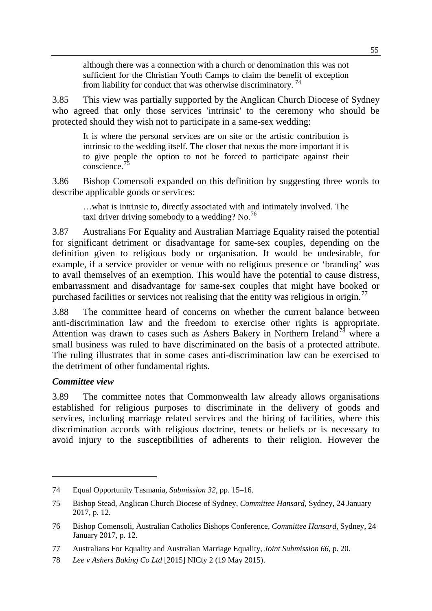although there was a connection with a church or denomination this was not sufficient for the Christian Youth Camps to claim the benefit of exception from liability for conduct that was otherwise discriminatory.<sup>[74](#page-20-0)</sup>

3.85 This view was partially supported by the Anglican Church Diocese of Sydney who agreed that only those services 'intrinsic' to the ceremony who should be protected should they wish not to participate in a same-sex wedding:

It is where the personal services are on site or the artistic contribution is intrinsic to the wedding itself. The closer that nexus the more important it is to give people the option to not be forced to participate against their conscience.[75](#page-20-1)

3.86 Bishop Comensoli expanded on this definition by suggesting three words to describe applicable goods or services:

…what is intrinsic to, directly associated with and intimately involved. The taxi driver driving somebody to a wedding? No.<sup>76</sup>

3.87 Australians For Equality and Australian Marriage Equality raised the potential for significant detriment or disadvantage for same-sex couples, depending on the definition given to religious body or organisation. It would be undesirable, for example, if a service provider or venue with no religious presence or 'branding' was to avail themselves of an exemption. This would have the potential to cause distress, embarrassment and disadvantage for same-sex couples that might have booked or purchased facilities or services not realising that the entity was religious in origin.<sup>[77](#page-20-3)</sup>

3.88 The committee heard of concerns on whether the current balance between anti-discrimination law and the freedom to exercise other rights is appropriate. Attention was drawn to cases such as Ashers Bakery in Northern Ireland<sup>[78](#page-20-4)</sup> where a small business was ruled to have discriminated on the basis of a protected attribute. The ruling illustrates that in some cases anti-discrimination law can be exercised to the detriment of other fundamental rights.

## *Committee view*

-

3.89 The committee notes that Commonwealth law already allows organisations established for religious purposes to discriminate in the delivery of goods and services, including marriage related services and the hiring of facilities, where this discrimination accords with religious doctrine, tenets or beliefs or is necessary to avoid injury to the susceptibilities of adherents to their religion. However the

<span id="page-20-0"></span><sup>74</sup> Equal Opportunity Tasmania, *Submission 32*, pp. 15–16.

<span id="page-20-1"></span><sup>75</sup> Bishop Stead, Anglican Church Diocese of Sydney, *Committee Hansard,* Sydney, 24 January 2017, p. 12.

<span id="page-20-2"></span><sup>76</sup> Bishop Comensoli, Australian Catholics Bishops Conference, *Committee Hansard*, Sydney, 24 January 2017, p. 12.

<span id="page-20-3"></span><sup>77</sup> Australians For Equality and Australian Marriage Equality, *Joint Submission 66,* p. 20.

<span id="page-20-4"></span><sup>78</sup> *Lee v Ashers Baking Co Ltd* [2015] NICty 2 (19 May 2015).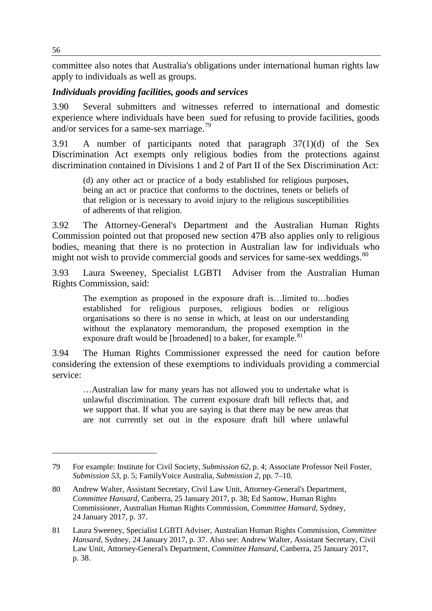committee also notes that Australia's obligations under international human rights law apply to individuals as well as groups.

# *Individuals providing facilities, goods and services*

3.90 Several submitters and witnesses referred to international and domestic experience where individuals have been sued for refusing to provide facilities, goods and/or services for a same-sex marriage.<sup>[79](#page-21-0)</sup>

3.91 A number of participants noted that paragraph 37(1)(d) of the Sex Discrimination Act exempts only religious bodies from the protections against discrimination contained in Divisions 1 and 2 of Part II of the Sex Discrimination Act:

(d) any other act or practice of a body established for religious purposes, being an act or practice that conforms to the doctrines, tenets or beliefs of that religion or is necessary to avoid injury to the religious susceptibilities of adherents of that religion.

3.92 The Attorney-General's Department and the Australian Human Rights Commission pointed out that proposed new section 47B also applies only to religious bodies, meaning that there is no protection in Australian law for individuals who might not wish to provide commercial goods and services for same-sex weddings.<sup>[80](#page-21-1)</sup>

3.93 Laura Sweeney, Specialist LGBTI Adviser from the Australian Human Rights Commission, said:

The exemption as proposed in the exposure draft is…limited to…bodies established for religious purposes, religious bodies or religious organisations so there is no sense in which, at least on our understanding without the explanatory memorandum, the proposed exemption in the exposure draft would be [broadened] to a baker, for example.<sup>[81](#page-21-2)</sup>

3.94 The Human Rights Commissioner expressed the need for caution before considering the extension of these exemptions to individuals providing a commercial service:

…Australian law for many years has not allowed you to undertake what is unlawful discrimination. The current exposure draft bill reflects that, and we support that. If what you are saying is that there may be new areas that are not currently set out in the exposure draft bill where unlawful

<span id="page-21-0"></span><sup>79</sup> For example: Institute for Civil Society, *Submission 62*, p. 4; Associate Professor Neil Foster, *Submission 53*, p. 5; FamilyVoice Australia, *Submission 2*, pp. 7–10.

<span id="page-21-1"></span><sup>80</sup> Andrew Walter, Assistant Secretary, Civil Law Unit, Attorney-General's Department, *Committee Hansard*, Canberra, 25 January 2017, p. 38; Ed Santow, Human Rights Commissioner, Australian Human Rights Commission, *Committee Hansard*, Sydney, 24 January 2017, p. 37.

<span id="page-21-2"></span><sup>81</sup> Laura Sweeney, Specialist LGBTI Adviser, Australian Human Rights Commission, *Committee Hansard*, Sydney, 24 January 2017, p. 37. Also see: Andrew Walter, Assistant Secretary, Civil Law Unit, Attorney-General's Department, *Committee Hansard*, Canberra, 25 January 2017, p. 38.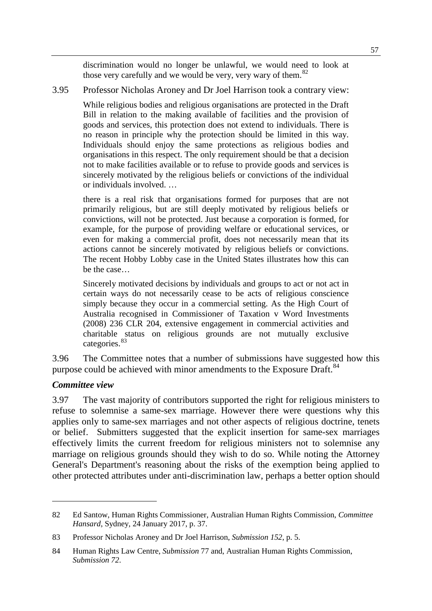discrimination would no longer be unlawful, we would need to look at those very carefully and we would be very, very wary of them.<sup>[82](#page-22-0)</sup>

#### 3.95 Professor Nicholas Aroney and Dr Joel Harrison took a contrary view:

While religious bodies and religious organisations are protected in the Draft Bill in relation to the making available of facilities and the provision of goods and services, this protection does not extend to individuals. There is no reason in principle why the protection should be limited in this way. Individuals should enjoy the same protections as religious bodies and organisations in this respect. The only requirement should be that a decision not to make facilities available or to refuse to provide goods and services is sincerely motivated by the religious beliefs or convictions of the individual or individuals involved. …

there is a real risk that organisations formed for purposes that are not primarily religious, but are still deeply motivated by religious beliefs or convictions, will not be protected. Just because a corporation is formed, for example, for the purpose of providing welfare or educational services, or even for making a commercial profit, does not necessarily mean that its actions cannot be sincerely motivated by religious beliefs or convictions. The recent Hobby Lobby case in the United States illustrates how this can be the case…

Sincerely motivated decisions by individuals and groups to act or not act in certain ways do not necessarily cease to be acts of religious conscience simply because they occur in a commercial setting. As the High Court of Australia recognised in Commissioner of Taxation v Word Investments (2008) 236 CLR 204, extensive engagement in commercial activities and charitable status on religious grounds are not mutually exclusive categories.<sup>[83](#page-22-1)</sup>

3.96 The Committee notes that a number of submissions have suggested how this purpose could be achieved with minor amendments to the Exposure Draft.<sup>[84](#page-22-2)</sup>

#### *Committee view*

-

3.97 The vast majority of contributors supported the right for religious ministers to refuse to solemnise a same-sex marriage. However there were questions why this applies only to same-sex marriages and not other aspects of religious doctrine, tenets or belief. Submitters suggested that the explicit insertion for same-sex marriages effectively limits the current freedom for religious ministers not to solemnise any marriage on religious grounds should they wish to do so. While noting the Attorney General's Department's reasoning about the risks of the exemption being applied to other protected attributes under anti-discrimination law, perhaps a better option should

<span id="page-22-0"></span><sup>82</sup> Ed Santow, Human Rights Commissioner, Australian Human Rights Commission, *Committee Hansard*, Sydney, 24 January 2017, p. 37.

<span id="page-22-1"></span><sup>83</sup> Professor Nicholas Aroney and Dr Joel Harrison, *Submission 152*, p. 5.

<span id="page-22-2"></span><sup>84</sup> Human Rights Law Centre, *Submission* 77 and, Australian Human Rights Commission, *Submission 72*.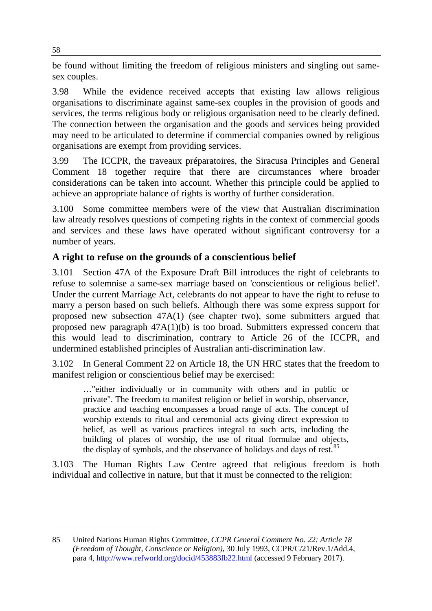be found without limiting the freedom of religious ministers and singling out samesex couples.

3.98 While the evidence received accepts that existing law allows religious organisations to discriminate against same-sex couples in the provision of goods and services, the terms religious body or religious organisation need to be clearly defined. The connection between the organisation and the goods and services being provided may need to be articulated to determine if commercial companies owned by religious organisations are exempt from providing services.

3.99 The ICCPR, the traveaux préparatoires, the Siracusa Principles and General Comment 18 together require that there are circumstances where broader considerations can be taken into account. Whether this principle could be applied to achieve an appropriate balance of rights is worthy of further consideration.

3.100 Some committee members were of the view that Australian discrimination law already resolves questions of competing rights in the context of commercial goods and services and these laws have operated without significant controversy for a number of years.

# **A right to refuse on the grounds of a conscientious belief**

3.101 Section 47A of the Exposure Draft Bill introduces the right of celebrants to refuse to solemnise a same-sex marriage based on 'conscientious or religious belief'. Under the current Marriage Act, celebrants do not appear to have the right to refuse to marry a person based on such beliefs. Although there was some express support for proposed new subsection 47A(1) (see chapter two), some submitters argued that proposed new paragraph 47A(1)(b) is too broad. Submitters expressed concern that this would lead to discrimination, contrary to Article 26 of the ICCPR, and undermined established principles of Australian anti-discrimination law.

3.102 In General Comment 22 on Article 18, the UN HRC states that the freedom to manifest religion or conscientious belief may be exercised:

…"either individually or in community with others and in public or private". The freedom to manifest religion or belief in worship, observance, practice and teaching encompasses a broad range of acts. The concept of worship extends to ritual and ceremonial acts giving direct expression to belief, as well as various practices integral to such acts, including the building of places of worship, the use of ritual formulae and objects, the display of symbols, and the observance of holidays and days of rest.<sup>85</sup>

3.103 The Human Rights Law Centre agreed that religious freedom is both individual and collective in nature, but that it must be connected to the religion:

<span id="page-23-0"></span><sup>85</sup> United Nations Human Rights Committee, *CCPR General Comment No. 22: Article 18 (Freedom of Thought, Conscience or Religion)*, 30 July 1993, CCPR/C/21/Rev.1/Add.4, para 4, <http://www.refworld.org/docid/453883fb22.html> (accessed 9 February 2017).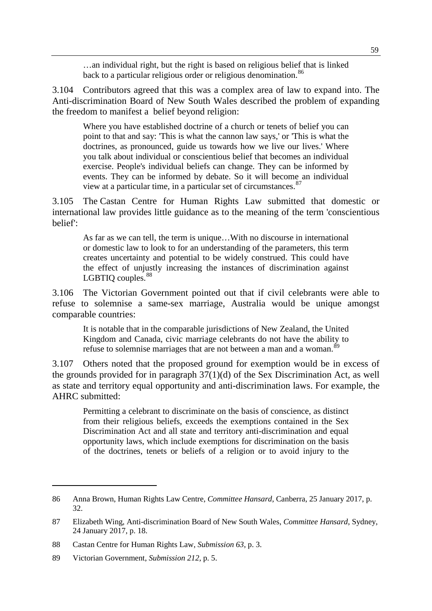…an individual right, but the right is based on religious belief that is linked back to a particular religious order or religious denomination.<sup>[86](#page-24-0)</sup>

3.104 Contributors agreed that this was a complex area of law to expand into. The Anti-discrimination Board of New South Wales described the problem of expanding the freedom to manifest a belief beyond religion:

Where you have established doctrine of a church or tenets of belief you can point to that and say: 'This is what the cannon law says,' or 'This is what the doctrines, as pronounced, guide us towards how we live our lives.' Where you talk about individual or conscientious belief that becomes an individual exercise. People's individual beliefs can change. They can be informed by events. They can be informed by debate. So it will become an individual view at a particular time, in a particular set of circumstances.<sup>[87](#page-24-1)</sup>

3.105 The Castan Centre for Human Rights Law submitted that domestic or international law provides little guidance as to the meaning of the term 'conscientious belief':

As far as we can tell, the term is unique…With no discourse in international or domestic law to look to for an understanding of the parameters, this term creates uncertainty and potential to be widely construed. This could have the effect of unjustly increasing the instances of discrimination against LGBTIQ couples.<sup>[88](#page-24-2)</sup>

3.106 The Victorian Government pointed out that if civil celebrants were able to refuse to solemnise a same-sex marriage, Australia would be unique amongst comparable countries:

It is notable that in the comparable jurisdictions of New Zealand, the United Kingdom and Canada, civic marriage celebrants do not have the ability to refuse to solemnise marriages that are not between a man and a woman.<sup>[89](#page-24-3)</sup>

3.107 Others noted that the proposed ground for exemption would be in excess of the grounds provided for in paragraph 37(1)(d) of the Sex Discrimination Act, as well as state and territory equal opportunity and anti-discrimination laws. For example, the AHRC submitted:

Permitting a celebrant to discriminate on the basis of conscience, as distinct from their religious beliefs, exceeds the exemptions contained in the Sex Discrimination Act and all state and territory anti-discrimination and equal opportunity laws, which include exemptions for discrimination on the basis of the doctrines, tenets or beliefs of a religion or to avoid injury to the

<span id="page-24-0"></span><sup>86</sup> Anna Brown, Human Rights Law Centre, *Committee Hansard*, Canberra, 25 January 2017, p. 32.

<span id="page-24-1"></span><sup>87</sup> Elizabeth Wing, Anti-discrimination Board of New South Wales, *Committee Hansard*, Sydney, 24 January 2017, p. 18.

<span id="page-24-2"></span><sup>88</sup> Castan Centre for Human Rights Law, *Submission 63*, p. 3.

<span id="page-24-3"></span><sup>89</sup> Victorian Government, *Submission 212,* p. 5.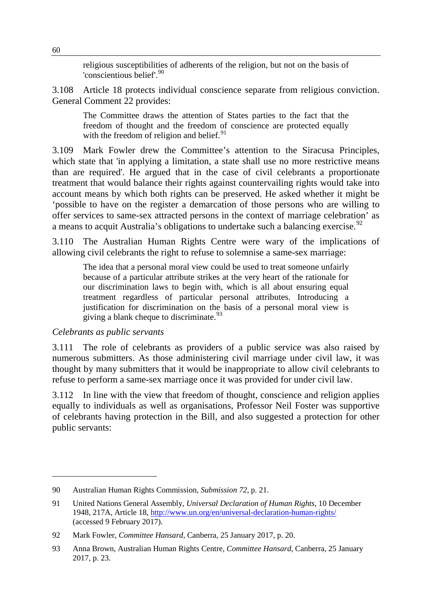religious susceptibilities of adherents of the religion, but not on the basis of 'conscientious belief'. [90](#page-25-0)

3.108 Article 18 protects individual conscience separate from religious conviction. General Comment 22 provides:

The Committee draws the attention of States parties to the fact that the freedom of thought and the freedom of conscience are protected equally with the freedom of religion and belief.<sup>[91](#page-25-1)</sup>

3.109 Mark Fowler drew the Committee's attention to the Siracusa Principles, which state that 'in applying a limitation, a state shall use no more restrictive means than are required'. He argued that in the case of civil celebrants a proportionate treatment that would balance their rights against countervailing rights would take into account means by which both rights can be preserved. He asked whether it might be 'possible to have on the register a demarcation of those persons who are willing to offer services to same-sex attracted persons in the context of marriage celebration' as a means to acquit Australia's obligations to undertake such a balancing exercise.<sup>[92](#page-25-2)</sup>

3.110 The Australian Human Rights Centre were wary of the implications of allowing civil celebrants the right to refuse to solemnise a same-sex marriage:

The idea that a personal moral view could be used to treat someone unfairly because of a particular attribute strikes at the very heart of the rationale for our discrimination laws to begin with, which is all about ensuring equal treatment regardless of particular personal attributes. Introducing a justification for discrimination on the basis of a personal moral view is giving a blank cheque to discriminate.  $93$ 

#### *Celebrants as public servants*

-

3.111 The role of celebrants as providers of a public service was also raised by numerous submitters. As those administering civil marriage under civil law, it was thought by many submitters that it would be inappropriate to allow civil celebrants to refuse to perform a same-sex marriage once it was provided for under civil law.

3.112 In line with the view that freedom of thought, conscience and religion applies equally to individuals as well as organisations, Professor Neil Foster was supportive of celebrants having protection in the Bill, and also suggested a protection for other public servants:

<span id="page-25-0"></span><sup>90</sup> Australian Human Rights Commission, *Submission 72*, p. 21.

<span id="page-25-1"></span><sup>91</sup> United Nations General Assembly, *Universal Declaration of Human Rights*, 10 December 1948, 217A, Article 18,<http://www.un.org/en/universal-declaration-human-rights/> (accessed 9 February 2017).

<span id="page-25-2"></span><sup>92</sup> Mark Fowler, *Committee Hansard*, Canberra, 25 January 2017, p. 20.

<span id="page-25-3"></span><sup>93</sup> Anna Brown, Australian Human Rights Centre, *Committee Hansard*, Canberra, 25 January 2017, p. 23.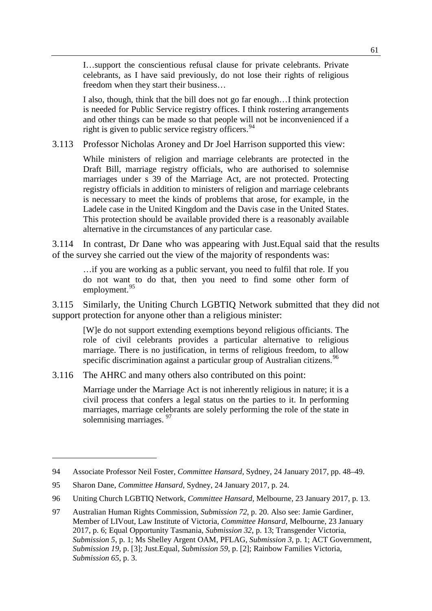I…support the conscientious refusal clause for private celebrants. Private celebrants, as I have said previously, do not lose their rights of religious freedom when they start their business…

I also, though, think that the bill does not go far enough…I think protection is needed for Public Service registry offices. I think rostering arrangements and other things can be made so that people will not be inconvenienced if a right is given to public service registry officers.  $94$ 

3.113 Professor Nicholas Aroney and Dr Joel Harrison supported this view:

While ministers of religion and marriage celebrants are protected in the Draft Bill, marriage registry officials, who are authorised to solemnise marriages under s 39 of the Marriage Act, are not protected. Protecting registry officials in addition to ministers of religion and marriage celebrants is necessary to meet the kinds of problems that arose, for example, in the Ladele case in the United Kingdom and the Davis case in the United States. This protection should be available provided there is a reasonably available alternative in the circumstances of any particular case.

3.114 In contrast, Dr Dane who was appearing with Just.Equal said that the results of the survey she carried out the view of the majority of respondents was:

…if you are working as a public servant, you need to fulfil that role. If you do not want to do that, then you need to find some other form of employment.<sup>[95](#page-26-1)</sup>

3.115 Similarly, the Uniting Church LGBTIQ Network submitted that they did not support protection for anyone other than a religious minister:

[W]e do not support extending exemptions beyond religious officiants. The role of civil celebrants provides a particular alternative to religious marriage. There is no justification, in terms of religious freedom, to allow specific discrimination against a particular group of Australian citizens.<sup>[96](#page-26-2)</sup>

3.116 The AHRC and many others also contributed on this point:

Marriage under the Marriage Act is not inherently religious in nature; it is a civil process that confers a legal status on the parties to it. In performing marriages, marriage celebrants are solely performing the role of the state in solemnising marriages.<sup>[97](#page-26-3)</sup>

<span id="page-26-0"></span><sup>94</sup> Associate Professor Neil Foster, *Committee Hansard,* Sydney, 24 January 2017, pp. 48–49.

<span id="page-26-1"></span><sup>95</sup> Sharon Dane, *Committee Hansard*, Sydney, 24 January 2017, p. 24.

<span id="page-26-2"></span><sup>96</sup> Uniting Church LGBTIQ Network, *Committee Hansard*, Melbourne, 23 January 2017, p. 13.

<span id="page-26-3"></span><sup>97</sup> Australian Human Rights Commission, *Submission 72*, p. 20. Also see: Jamie Gardiner, Member of LIVout, Law Institute of Victoria, *Committee Hansard*, Melbourne, 23 January 2017, p. 6; Equal Opportunity Tasmania, *Submission 32*, p. 13; Transgender Victoria, *Submission 5*, p. 1; Ms Shelley Argent OAM, PFLAG, *Submission 3*, p. 1; ACT Government, *Submission 19*, p. [3]; Just.Equal, *Submission 59*, p. [2]; Rainbow Families Victoria, *Submission 65*, p. 3.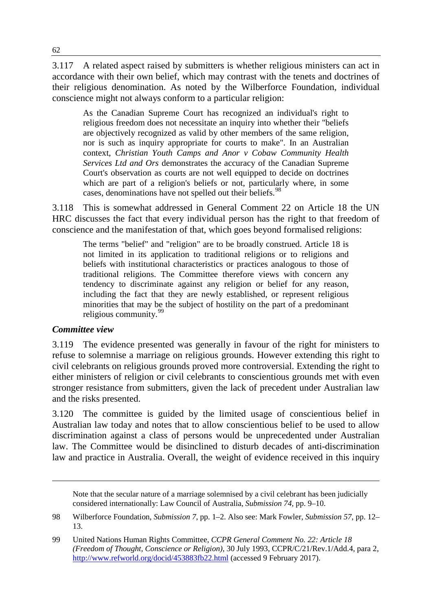3.117 A related aspect raised by submitters is whether religious ministers can act in accordance with their own belief, which may contrast with the tenets and doctrines of their religious denomination. As noted by the Wilberforce Foundation, individual conscience might not always conform to a particular religion:

As the Canadian Supreme Court has recognized an individual's right to religious freedom does not necessitate an inquiry into whether their "beliefs are objectively recognized as valid by other members of the same religion, nor is such as inquiry appropriate for courts to make". In an Australian context, *Christian Youth Camps and Anor v Cobaw Community Health Services Ltd and Ors* demonstrates the accuracy of the Canadian Supreme Court's observation as courts are not well equipped to decide on doctrines which are part of a religion's beliefs or not, particularly where, in some cases, denominations have not spelled out their beliefs.<sup>[98](#page-27-0)</sup>

3.118 This is somewhat addressed in General Comment 22 on Article 18 the UN HRC discusses the fact that every individual person has the right to that freedom of conscience and the manifestation of that, which goes beyond formalised religions:

The terms "belief" and "religion" are to be broadly construed. Article 18 is not limited in its application to traditional religions or to religions and beliefs with institutional characteristics or practices analogous to those of traditional religions. The Committee therefore views with concern any tendency to discriminate against any religion or belief for any reason, including the fact that they are newly established, or represent religious minorities that may be the subject of hostility on the part of a predominant religious community.<sup>[99](#page-27-1)</sup>

#### *Committee view*

-

3.119 The evidence presented was generally in favour of the right for ministers to refuse to solemnise a marriage on religious grounds. However extending this right to civil celebrants on religious grounds proved more controversial. Extending the right to either ministers of religion or civil celebrants to conscientious grounds met with even stronger resistance from submitters, given the lack of precedent under Australian law and the risks presented.

3.120 The committee is guided by the limited usage of conscientious belief in Australian law today and notes that to allow conscientious belief to be used to allow discrimination against a class of persons would be unprecedented under Australian law. The Committee would be disinclined to disturb decades of anti-discrimination law and practice in Australia. Overall, the weight of evidence received in this inquiry

Note that the secular nature of a marriage solemnised by a civil celebrant has been judicially considered internationally: Law Council of Australia, *Submission 74*, pp. 9–10.

<span id="page-27-0"></span><sup>98</sup> Wilberforce Foundation, *Submission 7*, pp. 1–2. Also see: Mark Fowler, *Submission 57*, pp. 12– 13.

<span id="page-27-1"></span><sup>99</sup> United Nations Human Rights Committee, *CCPR General Comment No. 22: Article 18 (Freedom of Thought, Conscience or Religion)*, 30 July 1993, CCPR/C/21/Rev.1/Add.4, para 2, <http://www.refworld.org/docid/453883fb22.html> (accessed 9 February 2017).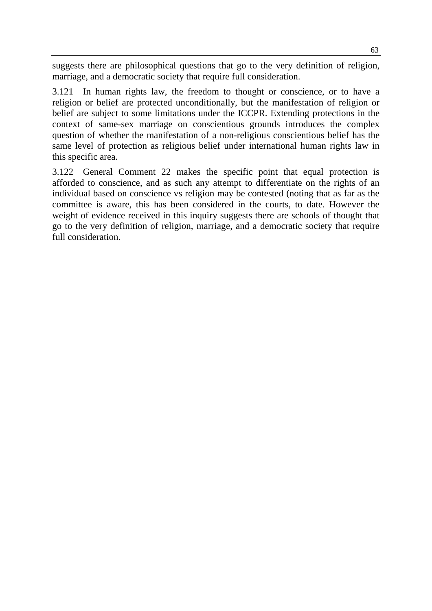suggests there are philosophical questions that go to the very definition of religion, marriage, and a democratic society that require full consideration.

3.121 In human rights law, the freedom to thought or conscience, or to have a religion or belief are protected unconditionally, but the manifestation of religion or belief are subject to some limitations under the ICCPR. Extending protections in the context of same-sex marriage on conscientious grounds introduces the complex question of whether the manifestation of a non-religious conscientious belief has the same level of protection as religious belief under international human rights law in this specific area.

3.122 General Comment 22 makes the specific point that equal protection is afforded to conscience, and as such any attempt to differentiate on the rights of an individual based on conscience vs religion may be contested (noting that as far as the committee is aware, this has been considered in the courts, to date. However the weight of evidence received in this inquiry suggests there are schools of thought that go to the very definition of religion, marriage, and a democratic society that require full consideration.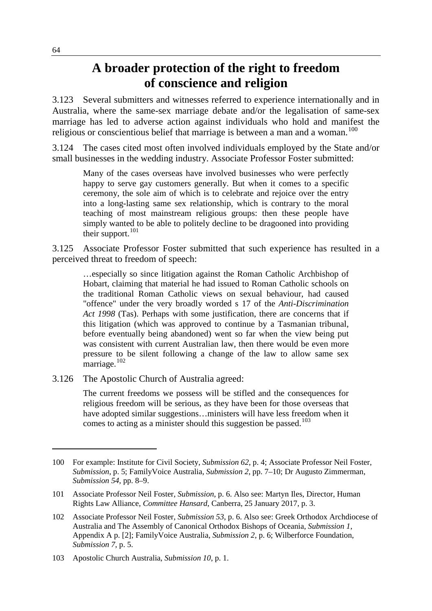# **A broader protection of the right to freedom of conscience and religion**

3.123 Several submitters and witnesses referred to experience internationally and in Australia, where the same-sex marriage debate and/or the legalisation of same-sex marriage has led to adverse action against individuals who hold and manifest the religious or conscientious belief that marriage is between a man and a woman.<sup>[100](#page-29-0)</sup>

3.124 The cases cited most often involved individuals employed by the State and/or small businesses in the wedding industry. Associate Professor Foster submitted:

Many of the cases overseas have involved businesses who were perfectly happy to serve gay customers generally. But when it comes to a specific ceremony, the sole aim of which is to celebrate and rejoice over the entry into a long-lasting same sex relationship, which is contrary to the moral teaching of most mainstream religious groups: then these people have simply wanted to be able to politely decline to be dragooned into providing their support. $101$ 

3.125 Associate Professor Foster submitted that such experience has resulted in a perceived threat to freedom of speech:

…especially so since litigation against the Roman Catholic Archbishop of Hobart, claiming that material he had issued to Roman Catholic schools on the traditional Roman Catholic views on sexual behaviour, had caused "offence" under the very broadly worded s 17 of the *Anti-Discrimination Act 1998* (Tas). Perhaps with some justification, there are concerns that if this litigation (which was approved to continue by a Tasmanian tribunal, before eventually being abandoned) went so far when the view being put was consistent with current Australian law, then there would be even more pressure to be silent following a change of the law to allow same sex marriage.<sup>[102](#page-29-2)</sup>

3.126 The Apostolic Church of Australia agreed:

The current freedoms we possess will be stifled and the consequences for religious freedom will be serious, as they have been for those overseas that have adopted similar suggestions…ministers will have less freedom when it comes to acting as a minister should this suggestion be passed.<sup>[103](#page-29-3)</sup>

<span id="page-29-0"></span><sup>100</sup> For example: Institute for Civil Society, *Submission 62*, p. 4; Associate Professor Neil Foster, *Submission*, p. 5; FamilyVoice Australia, *Submission 2*, pp. 7–10; Dr Augusto Zimmerman, *Submission 54*, pp. 8–9.

<span id="page-29-1"></span><sup>101</sup> Associate Professor Neil Foster, *Submission*, p. 6. Also see: Martyn Iles, Director, Human Rights Law Alliance, *Committee Hansard*, Canberra, 25 January 2017, p. 3.

<span id="page-29-2"></span><sup>102</sup> Associate Professor Neil Foster, *Submission 53*, p. 6. Also see: Greek Orthodox Archdiocese of Australia and The Assembly of Canonical Orthodox Bishops of Oceania, *Submission 1*, Appendix A p. [2]; FamilyVoice Australia, *Submission 2*, p. 6; Wilberforce Foundation, *Submission 7*, p. 5.

<span id="page-29-3"></span><sup>103</sup> Apostolic Church Australia, *Submission 10*, p. 1.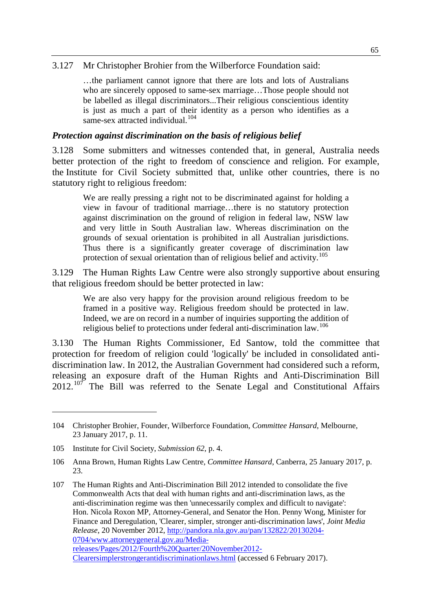#### 3.127 Mr Christopher Brohier from the Wilberforce Foundation said:

…the parliament cannot ignore that there are lots and lots of Australians who are sincerely opposed to same-sex marriage…Those people should not be labelled as illegal discriminators...Their religious conscientious identity is just as much a part of their identity as a person who identifies as a same-sex attracted individual.<sup>[104](#page-30-0)</sup>

#### *Protection against discrimination on the basis of religious belief*

3.128 Some submitters and witnesses contended that, in general, Australia needs better protection of the right to freedom of conscience and religion. For example, the Institute for Civil Society submitted that, unlike other countries, there is no statutory right to religious freedom:

We are really pressing a right not to be discriminated against for holding a view in favour of traditional marriage…there is no statutory protection against discrimination on the ground of religion in federal law, NSW law and very little in South Australian law. Whereas discrimination on the grounds of sexual orientation is prohibited in all Australian jurisdictions. Thus there is a significantly greater coverage of discrimination law protection of sexual orientation than of religious belief and activity.<sup>[105](#page-30-1)</sup>

3.129 The Human Rights Law Centre were also strongly supportive about ensuring that religious freedom should be better protected in law:

We are also very happy for the provision around religious freedom to be framed in a positive way. Religious freedom should be protected in law. Indeed, we are on record in a number of inquiries supporting the addition of religious belief to protections under federal anti-discrimination law.<sup>[106](#page-30-2)</sup>

3.130 The Human Rights Commissioner, Ed Santow, told the committee that protection for freedom of religion could 'logically' be included in consolidated antidiscrimination law. In 2012, the Australian Government had considered such a reform, releasing an exposure draft of the Human Rights and Anti-Discrimination Bill  $2012$ .<sup>[107](#page-30-3)</sup> The Bill was referred to the Senate Legal and Constitutional Affairs

<span id="page-30-0"></span><sup>104</sup> Christopher Brohier, Founder, Wilberforce Foundation, *Committee Hansard*, Melbourne, 23 January 2017, p. 11.

<span id="page-30-1"></span><sup>105</sup> Institute for Civil Society, *Submission 62*, p. 4.

<span id="page-30-2"></span><sup>106</sup> Anna Brown, Human Rights Law Centre, *Committee Hansard*, Canberra, 25 January 2017, p. 23.

<span id="page-30-3"></span><sup>107</sup> The Human Rights and Anti-Discrimination Bill 2012 intended to consolidate the five Commonwealth Acts that deal with human rights and anti-discrimination laws, as the anti-discrimination regime was then 'unnecessarily complex and difficult to navigate': Hon. Nicola Roxon MP, Attorney-General, and Senator the Hon. Penny Wong, Minister for Finance and Deregulation, 'Clearer, simpler, stronger anti-discrimination laws', *Joint Media Release*, 20 November 2012, [http://pandora.nla.gov.au/pan/132822/20130204-](http://pandora.nla.gov.au/pan/132822/20130204-0704/www.attorneygeneral.gov.au/Media-releases/Pages/2012/Fourth%20Quarter/20November2012-Clearersimplerstrongerantidiscriminationlaws.html) [0704/www.attorneygeneral.gov.au/Media](http://pandora.nla.gov.au/pan/132822/20130204-0704/www.attorneygeneral.gov.au/Media-releases/Pages/2012/Fourth%20Quarter/20November2012-Clearersimplerstrongerantidiscriminationlaws.html)[releases/Pages/2012/Fourth%20Quarter/20November2012-](http://pandora.nla.gov.au/pan/132822/20130204-0704/www.attorneygeneral.gov.au/Media-releases/Pages/2012/Fourth%20Quarter/20November2012-Clearersimplerstrongerantidiscriminationlaws.html) [Clearersimplerstrongerantidiscriminationlaws.html](http://pandora.nla.gov.au/pan/132822/20130204-0704/www.attorneygeneral.gov.au/Media-releases/Pages/2012/Fourth%20Quarter/20November2012-Clearersimplerstrongerantidiscriminationlaws.html) (accessed 6 February 2017).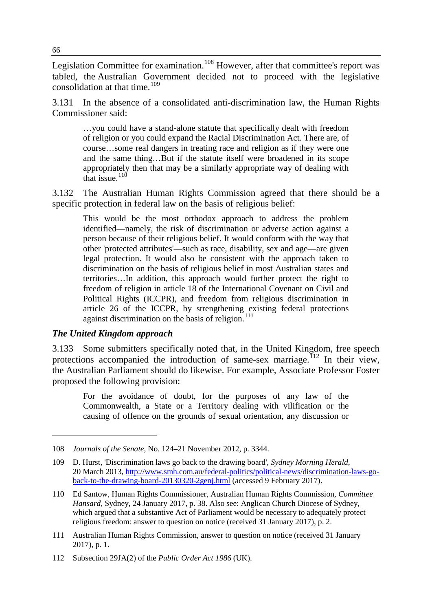Legislation Committee for examination.<sup>[108](#page-31-0)</sup> However, after that committee's report was tabled, the Australian Government decided not to proceed with the legislative consolidation at that time.<sup>[109](#page-31-1)</sup>

3.131 In the absence of a consolidated anti-discrimination law, the Human Rights Commissioner said:

…you could have a stand-alone statute that specifically dealt with freedom of religion or you could expand the Racial Discrimination Act. There are, of course…some real dangers in treating race and religion as if they were one and the same thing…But if the statute itself were broadened in its scope appropriately then that may be a similarly appropriate way of dealing with that issue. $110$ 

3.132 The Australian Human Rights Commission agreed that there should be a specific protection in federal law on the basis of religious belief:

This would be the most orthodox approach to address the problem identified—namely, the risk of discrimination or adverse action against a person because of their religious belief. It would conform with the way that other 'protected attributes'—such as race, disability, sex and age—are given legal protection. It would also be consistent with the approach taken to discrimination on the basis of religious belief in most Australian states and territories…In addition, this approach would further protect the right to freedom of religion in article 18 of the International Covenant on Civil and Political Rights (ICCPR), and freedom from religious discrimination in article 26 of the ICCPR, by strengthening existing federal protections against discrimination on the basis of religion. $111$ 

#### *The United Kingdom approach*

-

3.133 Some submitters specifically noted that, in the United Kingdom, free speech protections accompanied the introduction of same-sex marriage.<sup>[112](#page-31-4)</sup> In their view, the Australian Parliament should do likewise. For example, Associate Professor Foster proposed the following provision:

For the avoidance of doubt, for the purposes of any law of the Commonwealth, a State or a Territory dealing with vilification or the causing of offence on the grounds of sexual orientation, any discussion or

<span id="page-31-0"></span><sup>108</sup> *Journals of the Senate*, No. 124–21 November 2012, p. 3344.

<span id="page-31-1"></span><sup>109</sup> D. Hurst, 'Discrimination laws go back to the drawing board', *Sydney Morning Herald*, 20 March 2013, [http://www.smh.com.au/federal-politics/political-news/discrimination-laws-go](http://www.smh.com.au/federal-politics/political-news/discrimination-laws-go-back-to-the-drawing-board-20130320-2genj.html)[back-to-the-drawing-board-20130320-2genj.html](http://www.smh.com.au/federal-politics/political-news/discrimination-laws-go-back-to-the-drawing-board-20130320-2genj.html) (accessed 9 February 2017).

<span id="page-31-2"></span><sup>110</sup> Ed Santow, Human Rights Commissioner, Australian Human Rights Commission, *Committee Hansard*, Sydney, 24 January 2017, p. 38. Also see: Anglican Church Diocese of Sydney, which argued that a substantive Act of Parliament would be necessary to adequately protect religious freedom: answer to question on notice (received 31 January 2017), p. 2.

<span id="page-31-3"></span><sup>111</sup> Australian Human Rights Commission, answer to question on notice (received 31 January 2017), p. 1.

<span id="page-31-4"></span><sup>112</sup> Subsection 29JA(2) of the *Public Order Act 1986* (UK).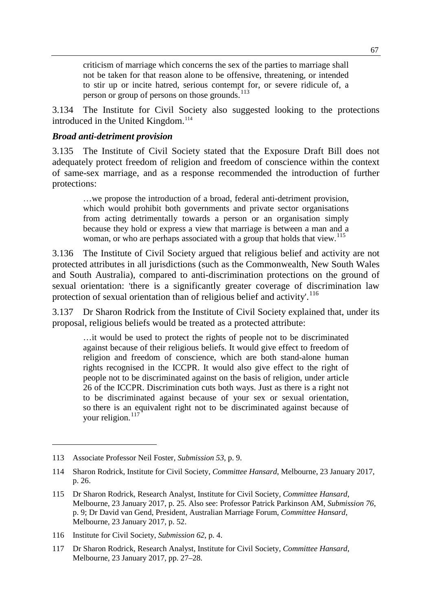criticism of marriage which concerns the sex of the parties to marriage shall not be taken for that reason alone to be offensive, threatening, or intended to stir up or incite hatred, serious contempt for, or severe ridicule of, a person or group of persons on those grounds.<sup>[113](#page-32-0)</sup>

3.134 The Institute for Civil Society also suggested looking to the protections introduced in the United Kingdom.<sup>[114](#page-32-1)</sup>

#### *Broad anti-detriment provision*

3.135 The Institute of Civil Society stated that the Exposure Draft Bill does not adequately protect freedom of religion and freedom of conscience within the context of same-sex marriage, and as a response recommended the introduction of further protections:

…we propose the introduction of a broad, federal anti-detriment provision, which would prohibit both governments and private sector organisations from acting detrimentally towards a person or an organisation simply because they hold or express a view that marriage is between a man and a woman, or who are perhaps associated with a group that holds that view.<sup>[115](#page-32-2)</sup>

3.136 The Institute of Civil Society argued that religious belief and activity are not protected attributes in all jurisdictions (such as the Commonwealth, New South Wales and South Australia), compared to anti-discrimination protections on the ground of sexual orientation: 'there is a significantly greater coverage of discrimination law protection of sexual orientation than of religious belief and activity'.<sup>[116](#page-32-3)</sup>

3.137 Dr Sharon Rodrick from the Institute of Civil Society explained that, under its proposal, religious beliefs would be treated as a protected attribute:

…it would be used to protect the rights of people not to be discriminated against because of their religious beliefs. It would give effect to freedom of religion and freedom of conscience, which are both stand-alone human rights recognised in the ICCPR. It would also give effect to the right of people not to be discriminated against on the basis of religion, under article 26 of the ICCPR. Discrimination cuts both ways. Just as there is a right not to be discriminated against because of your sex or sexual orientation, so there is an equivalent right not to be discriminated against because of your religion.<sup>[117](#page-32-4)</sup>

<span id="page-32-0"></span><sup>113</sup> Associate Professor Neil Foster, *Submission 53*, p. 9.

<span id="page-32-1"></span><sup>114</sup> Sharon Rodrick, Institute for Civil Society, *Committee Hansard*, Melbourne, 23 January 2017, p. 26.

<span id="page-32-2"></span><sup>115</sup> Dr Sharon Rodrick, Research Analyst, Institute for Civil Society, *Committee Hansard*, Melbourne, 23 January 2017, p. 25. Also see: Professor Patrick Parkinson AM, *Submission 76*, p. 9; Dr David van Gend, President, Australian Marriage Forum, *Committee Hansard*, Melbourne, 23 January 2017, p. 52.

<span id="page-32-3"></span><sup>116</sup> Institute for Civil Society, *Submission 62*, p. 4.

<span id="page-32-4"></span><sup>117</sup> Dr Sharon Rodrick, Research Analyst, Institute for Civil Society, *Committee Hansard*, Melbourne, 23 January 2017, pp. 27–28.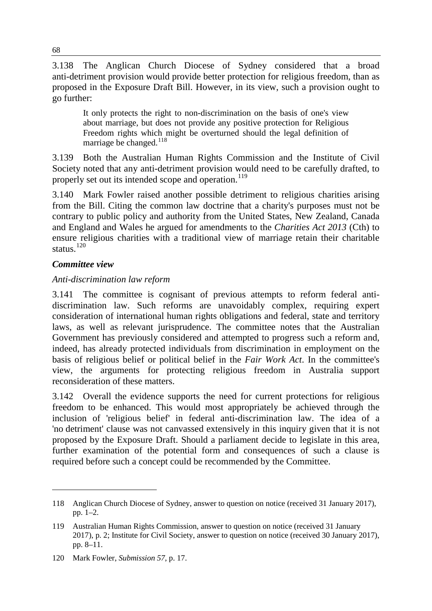3.138 The Anglican Church Diocese of Sydney considered that a broad anti-detriment provision would provide better protection for religious freedom, than as proposed in the Exposure Draft Bill. However, in its view, such a provision ought to go further:

It only protects the right to non-discrimination on the basis of one's view about marriage, but does not provide any positive protection for Religious Freedom rights which might be overturned should the legal definition of marriage be changed.<sup>[118](#page-33-0)</sup>

3.139 Both the Australian Human Rights Commission and the Institute of Civil Society noted that any anti-detriment provision would need to be carefully drafted, to properly set out its intended scope and operation.<sup>[119](#page-33-1)</sup>

3.140 Mark Fowler raised another possible detriment to religious charities arising from the Bill. Citing the common law doctrine that a charity's purposes must not be contrary to public policy and authority from the United States, New Zealand, Canada and England and Wales he argued for amendments to the *Charities Act 2013* (Cth) to ensure religious charities with a traditional view of marriage retain their charitable status.<sup>[120](#page-33-2)</sup>

# *Committee view*

-

## *Anti-discrimination law reform*

3.141 The committee is cognisant of previous attempts to reform federal antidiscrimination law. Such reforms are unavoidably complex, requiring expert consideration of international human rights obligations and federal, state and territory laws, as well as relevant jurisprudence. The committee notes that the Australian Government has previously considered and attempted to progress such a reform and, indeed, has already protected individuals from discrimination in employment on the basis of religious belief or political belief in the *Fair Work Act*. In the committee's view, the arguments for protecting religious freedom in Australia support reconsideration of these matters.

3.142 Overall the evidence supports the need for current protections for religious freedom to be enhanced. This would most appropriately be achieved through the inclusion of 'religious belief' in federal anti-discrimination law. The idea of a 'no detriment' clause was not canvassed extensively in this inquiry given that it is not proposed by the Exposure Draft. Should a parliament decide to legislate in this area, further examination of the potential form and consequences of such a clause is required before such a concept could be recommended by the Committee.

<span id="page-33-0"></span><sup>118</sup> Anglican Church Diocese of Sydney, answer to question on notice (received 31 January 2017), pp. 1–2.

<span id="page-33-1"></span><sup>119</sup> Australian Human Rights Commission, answer to question on notice (received 31 January 2017), p. 2; Institute for Civil Society, answer to question on notice (received 30 January 2017), pp. 8–11.

<span id="page-33-2"></span><sup>120</sup> Mark Fowler, *Submission 57*, p. 17.